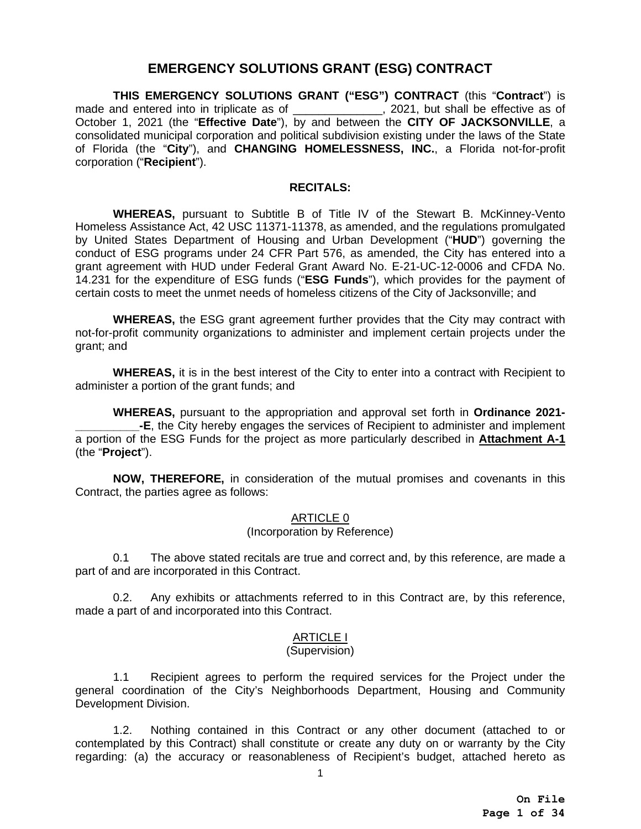# **EMERGENCY SOLUTIONS GRANT (ESG) CONTRACT**

**THIS EMERGENCY SOLUTIONS GRANT ("ESG") CONTRACT** (this "**Contract**") is made and entered into in triplicate as of \_\_\_\_\_\_\_\_\_\_\_\_\_, 2021, but shall be effective as of October 1, 2021 (the "**Effective Date**"), by and between the **CITY OF JACKSONVILLE**, a consolidated municipal corporation and political subdivision existing under the laws of the State of Florida (the "**City**"), and **CHANGING HOMELESSNESS, INC.**, a Florida not-for-profit corporation ("**Recipient**").

#### **RECITALS:**

**WHEREAS,** pursuant to Subtitle B of Title IV of the Stewart B. McKinney-Vento Homeless Assistance Act, 42 USC 11371-11378, as amended, and the regulations promulgated by United States Department of Housing and Urban Development ("**HUD**") governing the conduct of ESG programs under 24 CFR Part 576, as amended, the City has entered into a grant agreement with HUD under Federal Grant Award No. E-21-UC-12-0006 and CFDA No. 14.231 for the expenditure of ESG funds ("**ESG Funds**"), which provides for the payment of certain costs to meet the unmet needs of homeless citizens of the City of Jacksonville; and

**WHEREAS,** the ESG grant agreement further provides that the City may contract with not-for-profit community organizations to administer and implement certain projects under the grant; and

**WHEREAS,** it is in the best interest of the City to enter into a contract with Recipient to administer a portion of the grant funds; and

**WHEREAS,** pursuant to the appropriation and approval set forth in **Ordinance 2021- \_\_\_\_\_\_\_\_\_\_-E**, the City hereby engages the services of Recipient to administer and implement a portion of the ESG Funds for the project as more particularly described in **Attachment A-1** (the "**Project**").

**NOW, THEREFORE,** in consideration of the mutual promises and covenants in this Contract, the parties agree as follows:

#### ARTICLE 0

#### (Incorporation by Reference)

0.1 The above stated recitals are true and correct and, by this reference, are made a part of and are incorporated in this Contract.

0.2. Any exhibits or attachments referred to in this Contract are, by this reference, made a part of and incorporated into this Contract.

# ARTICLE I

#### (Supervision)

1.1 Recipient agrees to perform the required services for the Project under the general coordination of the City's Neighborhoods Department, Housing and Community Development Division.

1.2. Nothing contained in this Contract or any other document (attached to or contemplated by this Contract) shall constitute or create any duty on or warranty by the City regarding: (a) the accuracy or reasonableness of Recipient's budget, attached hereto as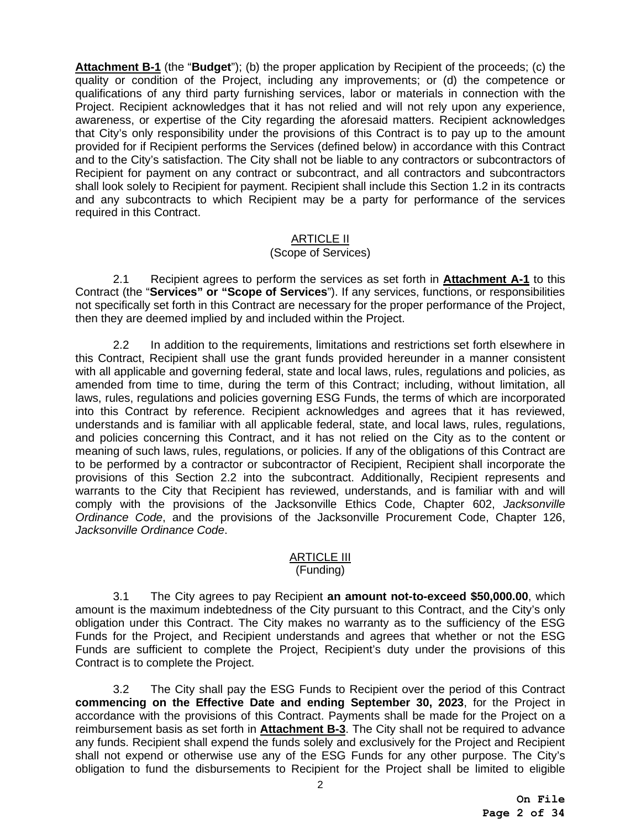**Attachment B-1** (the "**Budget**"); (b) the proper application by Recipient of the proceeds; (c) the quality or condition of the Project, including any improvements; or (d) the competence or qualifications of any third party furnishing services, labor or materials in connection with the Project. Recipient acknowledges that it has not relied and will not rely upon any experience, awareness, or expertise of the City regarding the aforesaid matters. Recipient acknowledges that City's only responsibility under the provisions of this Contract is to pay up to the amount provided for if Recipient performs the Services (defined below) in accordance with this Contract and to the City's satisfaction. The City shall not be liable to any contractors or subcontractors of Recipient for payment on any contract or subcontract, and all contractors and subcontractors shall look solely to Recipient for payment. Recipient shall include this Section 1.2 in its contracts and any subcontracts to which Recipient may be a party for performance of the services required in this Contract.

#### <u>ARTICLE II</u>

# (Scope of Services)

2.1 Recipient agrees to perform the services as set forth in **Attachment A-1** to this Contract (the "**Services" or "Scope of Services**"). If any services, functions, or responsibilities not specifically set forth in this Contract are necessary for the proper performance of the Project, then they are deemed implied by and included within the Project.

2.2 In addition to the requirements, limitations and restrictions set forth elsewhere in this Contract, Recipient shall use the grant funds provided hereunder in a manner consistent with all applicable and governing federal, state and local laws, rules, regulations and policies, as amended from time to time, during the term of this Contract; including, without limitation, all laws, rules, regulations and policies governing ESG Funds, the terms of which are incorporated into this Contract by reference. Recipient acknowledges and agrees that it has reviewed, understands and is familiar with all applicable federal, state, and local laws, rules, regulations, and policies concerning this Contract, and it has not relied on the City as to the content or meaning of such laws, rules, regulations, or policies. If any of the obligations of this Contract are to be performed by a contractor or subcontractor of Recipient, Recipient shall incorporate the provisions of this Section 2.2 into the subcontract. Additionally, Recipient represents and warrants to the City that Recipient has reviewed, understands, and is familiar with and will comply with the provisions of the Jacksonville Ethics Code, Chapter 602, *Jacksonville Ordinance Code*, and the provisions of the Jacksonville Procurement Code, Chapter 126, *Jacksonville Ordinance Code*.

## <u>ARTICLE III</u> (Funding)

3.1 The City agrees to pay Recipient **an amount not-to-exceed \$50,000.00**, which amount is the maximum indebtedness of the City pursuant to this Contract, and the City's only obligation under this Contract. The City makes no warranty as to the sufficiency of the ESG Funds for the Project, and Recipient understands and agrees that whether or not the ESG Funds are sufficient to complete the Project, Recipient's duty under the provisions of this Contract is to complete the Project.

3.2 The City shall pay the ESG Funds to Recipient over the period of this Contract **commencing on the Effective Date and ending September 30, 2023**, for the Project in accordance with the provisions of this Contract. Payments shall be made for the Project on a reimbursement basis as set forth in **Attachment B-3**. The City shall not be required to advance any funds. Recipient shall expend the funds solely and exclusively for the Project and Recipient shall not expend or otherwise use any of the ESG Funds for any other purpose. The City's obligation to fund the disbursements to Recipient for the Project shall be limited to eligible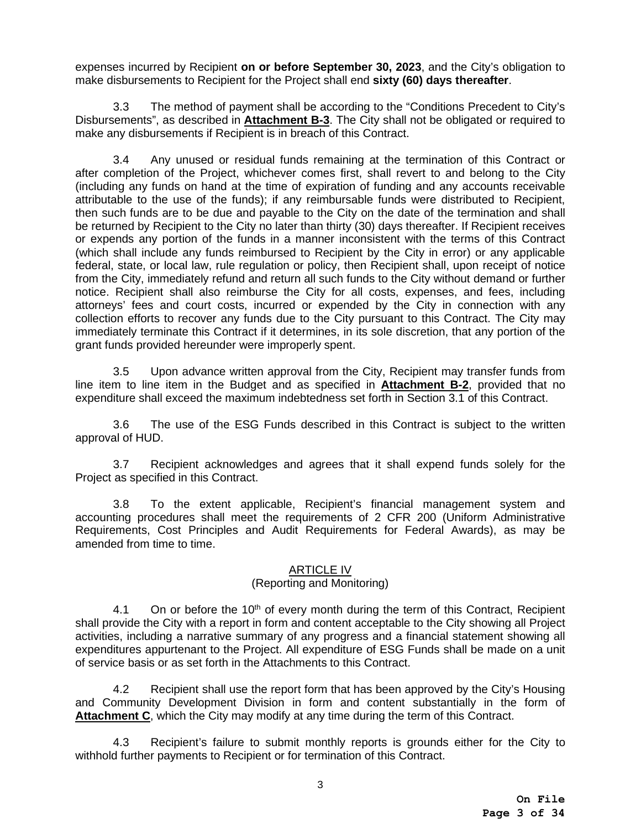expenses incurred by Recipient **on or before September 30, 2023**, and the City's obligation to make disbursements to Recipient for the Project shall end **sixty (60) days thereafter**.

3.3 The method of payment shall be according to the "Conditions Precedent to City's Disbursements", as described in **Attachment B-3**. The City shall not be obligated or required to make any disbursements if Recipient is in breach of this Contract.

3.4 Any unused or residual funds remaining at the termination of this Contract or after completion of the Project, whichever comes first, shall revert to and belong to the City (including any funds on hand at the time of expiration of funding and any accounts receivable attributable to the use of the funds); if any reimbursable funds were distributed to Recipient, then such funds are to be due and payable to the City on the date of the termination and shall be returned by Recipient to the City no later than thirty (30) days thereafter. If Recipient receives or expends any portion of the funds in a manner inconsistent with the terms of this Contract (which shall include any funds reimbursed to Recipient by the City in error) or any applicable federal, state, or local law, rule regulation or policy, then Recipient shall, upon receipt of notice from the City, immediately refund and return all such funds to the City without demand or further notice. Recipient shall also reimburse the City for all costs, expenses, and fees, including attorneys' fees and court costs, incurred or expended by the City in connection with any collection efforts to recover any funds due to the City pursuant to this Contract. The City may immediately terminate this Contract if it determines, in its sole discretion, that any portion of the grant funds provided hereunder were improperly spent.

3.5 Upon advance written approval from the City, Recipient may transfer funds from line item to line item in the Budget and as specified in **Attachment B-2**, provided that no expenditure shall exceed the maximum indebtedness set forth in Section 3.1 of this Contract.

3.6 The use of the ESG Funds described in this Contract is subject to the written approval of HUD.

3.7 Recipient acknowledges and agrees that it shall expend funds solely for the Project as specified in this Contract.

3.8 To the extent applicable, Recipient's financial management system and accounting procedures shall meet the requirements of 2 CFR 200 (Uniform Administrative Requirements, Cost Principles and Audit Requirements for Federal Awards), as may be amended from time to time.

# ARTICLE IV

# (Reporting and Monitoring)

4.1 On or before the  $10<sup>th</sup>$  of every month during the term of this Contract, Recipient shall provide the City with a report in form and content acceptable to the City showing all Project activities, including a narrative summary of any progress and a financial statement showing all expenditures appurtenant to the Project. All expenditure of ESG Funds shall be made on a unit of service basis or as set forth in the Attachments to this Contract.

 4.2 Recipient shall use the report form that has been approved by the City's Housing and Community Development Division in form and content substantially in the form of **Attachment C**, which the City may modify at any time during the term of this Contract.

4.3 Recipient's failure to submit monthly reports is grounds either for the City to withhold further payments to Recipient or for termination of this Contract.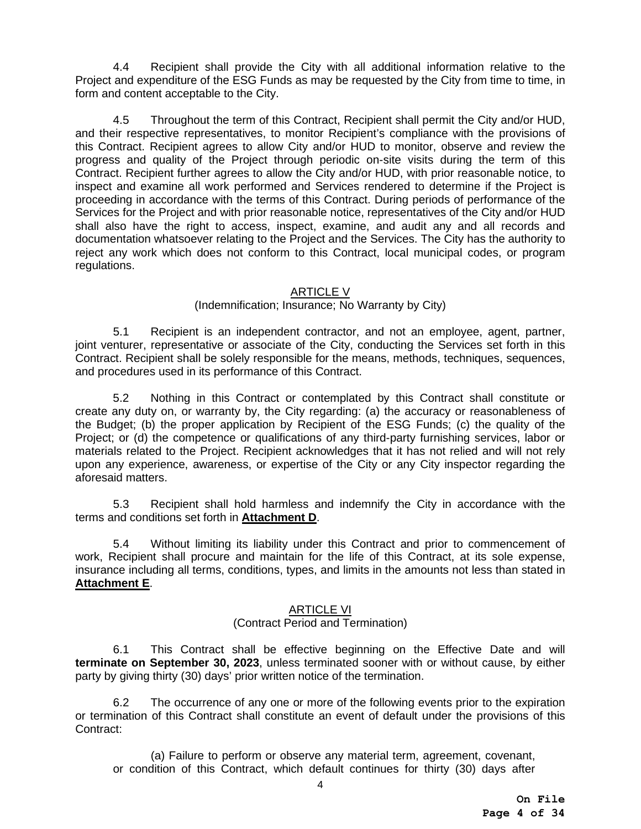4.4 Recipient shall provide the City with all additional information relative to the Project and expenditure of the ESG Funds as may be requested by the City from time to time, in form and content acceptable to the City.

4.5 Throughout the term of this Contract, Recipient shall permit the City and/or HUD, and their respective representatives, to monitor Recipient's compliance with the provisions of this Contract. Recipient agrees to allow City and/or HUD to monitor, observe and review the progress and quality of the Project through periodic on-site visits during the term of this Contract. Recipient further agrees to allow the City and/or HUD, with prior reasonable notice, to inspect and examine all work performed and Services rendered to determine if the Project is proceeding in accordance with the terms of this Contract. During periods of performance of the Services for the Project and with prior reasonable notice, representatives of the City and/or HUD shall also have the right to access, inspect, examine, and audit any and all records and documentation whatsoever relating to the Project and the Services. The City has the authority to reject any work which does not conform to this Contract, local municipal codes, or program regulations.

# ARTICLE V

## (Indemnification; Insurance; No Warranty by City)

5.1 Recipient is an independent contractor, and not an employee, agent, partner, joint venturer, representative or associate of the City, conducting the Services set forth in this Contract. Recipient shall be solely responsible for the means, methods, techniques, sequences, and procedures used in its performance of this Contract.

5.2 Nothing in this Contract or contemplated by this Contract shall constitute or create any duty on, or warranty by, the City regarding: (a) the accuracy or reasonableness of the Budget; (b) the proper application by Recipient of the ESG Funds; (c) the quality of the Project; or (d) the competence or qualifications of any third-party furnishing services, labor or materials related to the Project. Recipient acknowledges that it has not relied and will not rely upon any experience, awareness, or expertise of the City or any City inspector regarding the aforesaid matters.

5.3 Recipient shall hold harmless and indemnify the City in accordance with the terms and conditions set forth in **Attachment D**.

5.4 Without limiting its liability under this Contract and prior to commencement of work, Recipient shall procure and maintain for the life of this Contract, at its sole expense, insurance including all terms, conditions, types, and limits in the amounts not less than stated in **Attachment E**.

# ARTICLE VI

# (Contract Period and Termination)

6.1 This Contract shall be effective beginning on the Effective Date and will **terminate on September 30, 2023**, unless terminated sooner with or without cause, by either party by giving thirty (30) days' prior written notice of the termination.

6.2 The occurrence of any one or more of the following events prior to the expiration or termination of this Contract shall constitute an event of default under the provisions of this Contract:

(a) Failure to perform or observe any material term, agreement, covenant, or condition of this Contract, which default continues for thirty (30) days after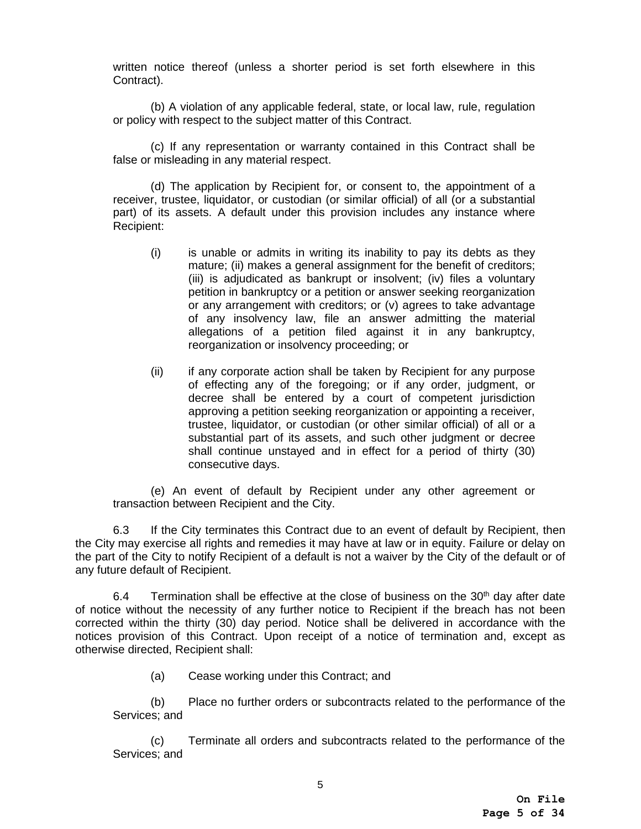written notice thereof (unless a shorter period is set forth elsewhere in this Contract).

(b) A violation of any applicable federal, state, or local law, rule, regulation or policy with respect to the subject matter of this Contract.

(c) If any representation or warranty contained in this Contract shall be false or misleading in any material respect.

(d) The application by Recipient for, or consent to, the appointment of a receiver, trustee, liquidator, or custodian (or similar official) of all (or a substantial part) of its assets. A default under this provision includes any instance where Recipient:

- (i) is unable or admits in writing its inability to pay its debts as they mature; (ii) makes a general assignment for the benefit of creditors; (iii) is adjudicated as bankrupt or insolvent; (iv) files a voluntary petition in bankruptcy or a petition or answer seeking reorganization or any arrangement with creditors; or (v) agrees to take advantage of any insolvency law, file an answer admitting the material allegations of a petition filed against it in any bankruptcy, reorganization or insolvency proceeding; or
- (ii) if any corporate action shall be taken by Recipient for any purpose of effecting any of the foregoing; or if any order, judgment, or decree shall be entered by a court of competent jurisdiction approving a petition seeking reorganization or appointing a receiver, trustee, liquidator, or custodian (or other similar official) of all or a substantial part of its assets, and such other judgment or decree shall continue unstayed and in effect for a period of thirty (30) consecutive days.

(e) An event of default by Recipient under any other agreement or transaction between Recipient and the City.

6.3 If the City terminates this Contract due to an event of default by Recipient, then the City may exercise all rights and remedies it may have at law or in equity. Failure or delay on the part of the City to notify Recipient of a default is not a waiver by the City of the default or of any future default of Recipient.

6.4 Termination shall be effective at the close of business on the  $30<sup>th</sup>$  day after date of notice without the necessity of any further notice to Recipient if the breach has not been corrected within the thirty (30) day period. Notice shall be delivered in accordance with the notices provision of this Contract. Upon receipt of a notice of termination and, except as otherwise directed, Recipient shall:

(a) Cease working under this Contract; and

(b) Place no further orders or subcontracts related to the performance of the Services; and

(c) Terminate all orders and subcontracts related to the performance of the Services; and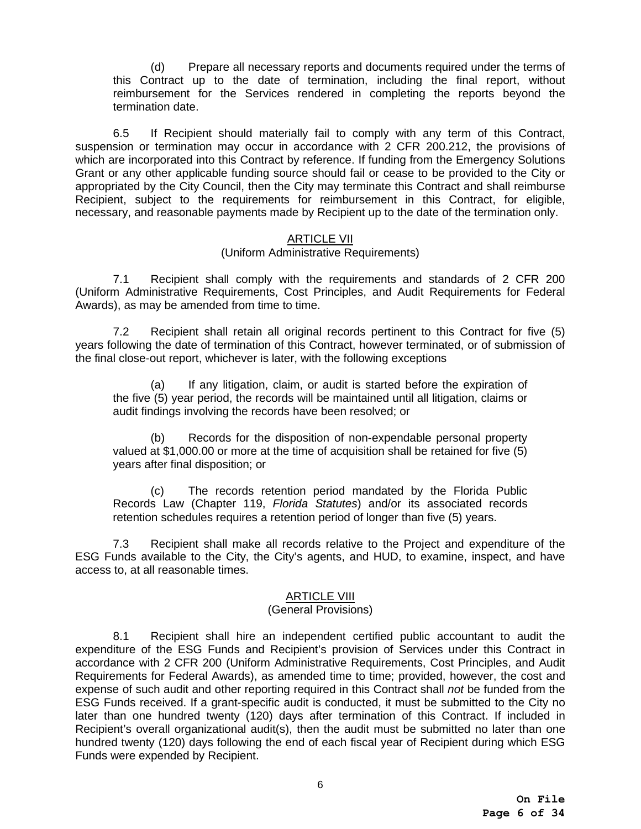(d) Prepare all necessary reports and documents required under the terms of this Contract up to the date of termination, including the final report, without reimbursement for the Services rendered in completing the reports beyond the termination date.

6.5 If Recipient should materially fail to comply with any term of this Contract, suspension or termination may occur in accordance with 2 CFR 200.212, the provisions of which are incorporated into this Contract by reference. If funding from the Emergency Solutions Grant or any other applicable funding source should fail or cease to be provided to the City or appropriated by the City Council, then the City may terminate this Contract and shall reimburse Recipient, subject to the requirements for reimbursement in this Contract, for eligible, necessary, and reasonable payments made by Recipient up to the date of the termination only.

## ARTICLE VII

#### (Uniform Administrative Requirements)

7.1 Recipient shall comply with the requirements and standards of 2 CFR 200 (Uniform Administrative Requirements, Cost Principles, and Audit Requirements for Federal Awards), as may be amended from time to time.

7.2 Recipient shall retain all original records pertinent to this Contract for five (5) years following the date of termination of this Contract, however terminated, or of submission of the final close-out report, whichever is later, with the following exceptions

(a) If any litigation, claim, or audit is started before the expiration of the five (5) year period, the records will be maintained until all litigation, claims or audit findings involving the records have been resolved; or

(b) Records for the disposition of non-expendable personal property valued at \$1,000.00 or more at the time of acquisition shall be retained for five (5) years after final disposition; or

(c) The records retention period mandated by the Florida Public Records Law (Chapter 119, *Florida Statutes*) and/or its associated records retention schedules requires a retention period of longer than five (5) years.

7.3 Recipient shall make all records relative to the Project and expenditure of the ESG Funds available to the City, the City's agents, and HUD, to examine, inspect, and have access to, at all reasonable times.

# ARTICLE VIII

#### (General Provisions)

8.1 Recipient shall hire an independent certified public accountant to audit the expenditure of the ESG Funds and Recipient's provision of Services under this Contract in accordance with 2 CFR 200 (Uniform Administrative Requirements, Cost Principles, and Audit Requirements for Federal Awards), as amended time to time; provided, however, the cost and expense of such audit and other reporting required in this Contract shall *not* be funded from the ESG Funds received. If a grant-specific audit is conducted, it must be submitted to the City no later than one hundred twenty (120) days after termination of this Contract. If included in Recipient's overall organizational audit(s), then the audit must be submitted no later than one hundred twenty (120) days following the end of each fiscal year of Recipient during which ESG Funds were expended by Recipient.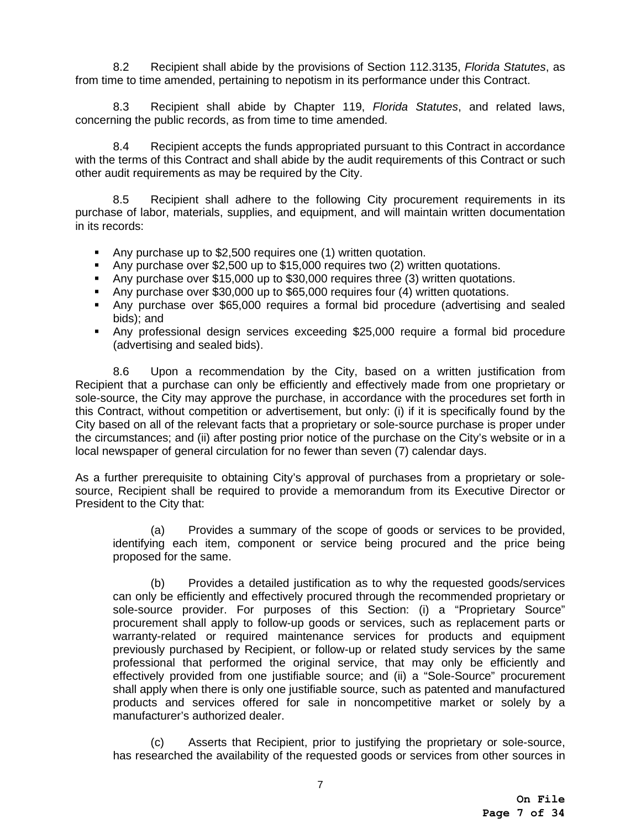8.2 Recipient shall abide by the provisions of Section 112.3135, *Florida Statutes*, as from time to time amended, pertaining to nepotism in its performance under this Contract.

8.3 Recipient shall abide by Chapter 119, *Florida Statutes*, and related laws, concerning the public records, as from time to time amended.

8.4 Recipient accepts the funds appropriated pursuant to this Contract in accordance with the terms of this Contract and shall abide by the audit requirements of this Contract or such other audit requirements as may be required by the City.

8.5 Recipient shall adhere to the following City procurement requirements in its purchase of labor, materials, supplies, and equipment, and will maintain written documentation in its records:

- Any purchase up to \$2,500 requires one (1) written quotation.
- Any purchase over \$2,500 up to \$15,000 requires two (2) written quotations.
- Any purchase over \$15,000 up to \$30,000 requires three (3) written quotations.
- Any purchase over \$30,000 up to \$65,000 requires four (4) written quotations.
- Any purchase over \$65,000 requires a formal bid procedure (advertising and sealed bids); and
- Any professional design services exceeding \$25,000 require a formal bid procedure (advertising and sealed bids).

8.6 Upon a recommendation by the City, based on a written justification from Recipient that a purchase can only be efficiently and effectively made from one proprietary or sole-source, the City may approve the purchase, in accordance with the procedures set forth in this Contract, without competition or advertisement, but only: (i) if it is specifically found by the City based on all of the relevant facts that a proprietary or sole-source purchase is proper under the circumstances; and (ii) after posting prior notice of the purchase on the City's website or in a local newspaper of general circulation for no fewer than seven (7) calendar days.

As a further prerequisite to obtaining City's approval of purchases from a proprietary or solesource, Recipient shall be required to provide a memorandum from its Executive Director or President to the City that:

(a) Provides a summary of the scope of goods or services to be provided, identifying each item, component or service being procured and the price being proposed for the same.

(b) Provides a detailed justification as to why the requested goods/services can only be efficiently and effectively procured through the recommended proprietary or sole-source provider. For purposes of this Section: (i) a "Proprietary Source" procurement shall apply to follow-up goods or services, such as replacement parts or warranty-related or required maintenance services for products and equipment previously purchased by Recipient, or follow-up or related study services by the same professional that performed the original service, that may only be efficiently and effectively provided from one justifiable source; and (ii) a "Sole-Source" procurement shall apply when there is only one justifiable source, such as patented and manufactured products and services offered for sale in noncompetitive market or solely by a manufacturer's authorized dealer.

(c) Asserts that Recipient, prior to justifying the proprietary or sole-source, has researched the availability of the requested goods or services from other sources in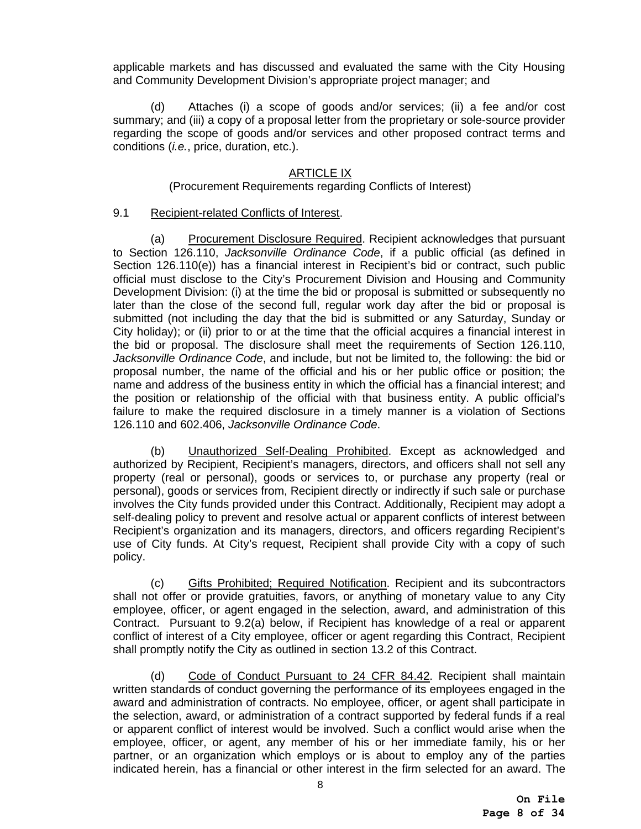applicable markets and has discussed and evaluated the same with the City Housing and Community Development Division's appropriate project manager; and

(d) Attaches (i) a scope of goods and/or services; (ii) a fee and/or cost summary; and (iii) a copy of a proposal letter from the proprietary or sole-source provider regarding the scope of goods and/or services and other proposed contract terms and conditions (*i.e.*, price, duration, etc.).

# ARTICLE IX

# (Procurement Requirements regarding Conflicts of Interest)

#### 9.1 Recipient-related Conflicts of Interest.

(a) Procurement Disclosure Required. Recipient acknowledges that pursuant to Section 126.110, *Jacksonville Ordinance Code*, if a public official (as defined in Section 126.110(e)) has a financial interest in Recipient's bid or contract, such public official must disclose to the City's Procurement Division and Housing and Community Development Division: (i) at the time the bid or proposal is submitted or subsequently no later than the close of the second full, regular work day after the bid or proposal is submitted (not including the day that the bid is submitted or any Saturday, Sunday or City holiday); or (ii) prior to or at the time that the official acquires a financial interest in the bid or proposal. The disclosure shall meet the requirements of Section 126.110, *Jacksonville Ordinance Code*, and include, but not be limited to, the following: the bid or proposal number, the name of the official and his or her public office or position; the name and address of the business entity in which the official has a financial interest; and the position or relationship of the official with that business entity. A public official's failure to make the required disclosure in a timely manner is a violation of Sections 126.110 and 602.406, *Jacksonville Ordinance Code*.

(b) Unauthorized Self-Dealing Prohibited. Except as acknowledged and authorized by Recipient, Recipient's managers, directors, and officers shall not sell any property (real or personal), goods or services to, or purchase any property (real or personal), goods or services from, Recipient directly or indirectly if such sale or purchase involves the City funds provided under this Contract. Additionally, Recipient may adopt a self-dealing policy to prevent and resolve actual or apparent conflicts of interest between Recipient's organization and its managers, directors, and officers regarding Recipient's use of City funds. At City's request, Recipient shall provide City with a copy of such policy.

(c) Gifts Prohibited; Required Notification. Recipient and its subcontractors shall not offer or provide gratuities, favors, or anything of monetary value to any City employee, officer, or agent engaged in the selection, award, and administration of this Contract. Pursuant to 9.2(a) below, if Recipient has knowledge of a real or apparent conflict of interest of a City employee, officer or agent regarding this Contract, Recipient shall promptly notify the City as outlined in section 13.2 of this Contract.

(d) Code of Conduct Pursuant to 24 CFR 84.42. Recipient shall maintain written standards of conduct governing the performance of its employees engaged in the award and administration of contracts. No employee, officer, or agent shall participate in the selection, award, or administration of a contract supported by federal funds if a real or apparent conflict of interest would be involved. Such a conflict would arise when the employee, officer, or agent, any member of his or her immediate family, his or her partner, or an organization which employs or is about to employ any of the parties indicated herein, has a financial or other interest in the firm selected for an award. The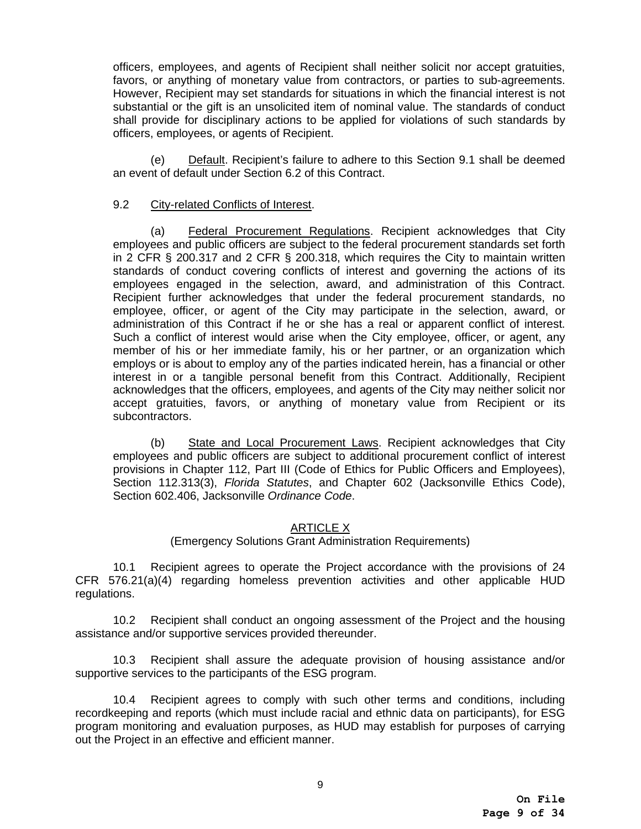officers, employees, and agents of Recipient shall neither solicit nor accept gratuities, favors, or anything of monetary value from contractors, or parties to sub-agreements. However, Recipient may set standards for situations in which the financial interest is not substantial or the gift is an unsolicited item of nominal value. The standards of conduct shall provide for disciplinary actions to be applied for violations of such standards by officers, employees, or agents of Recipient.

(e) Default. Recipient's failure to adhere to this Section 9.1 shall be deemed an event of default under Section 6.2 of this Contract.

# 9.2 City-related Conflicts of Interest.

(a) Federal Procurement Regulations. Recipient acknowledges that City employees and public officers are subject to the federal procurement standards set forth in 2 CFR § 200.317 and 2 CFR § 200.318, which requires the City to maintain written standards of conduct covering conflicts of interest and governing the actions of its employees engaged in the selection, award, and administration of this Contract. Recipient further acknowledges that under the federal procurement standards, no employee, officer, or agent of the City may participate in the selection, award, or administration of this Contract if he or she has a real or apparent conflict of interest. Such a conflict of interest would arise when the City employee, officer, or agent, any member of his or her immediate family, his or her partner, or an organization which employs or is about to employ any of the parties indicated herein, has a financial or other interest in or a tangible personal benefit from this Contract. Additionally, Recipient acknowledges that the officers, employees, and agents of the City may neither solicit nor accept gratuities, favors, or anything of monetary value from Recipient or its subcontractors.

(b) State and Local Procurement Laws. Recipient acknowledges that City employees and public officers are subject to additional procurement conflict of interest provisions in Chapter 112, Part III (Code of Ethics for Public Officers and Employees), Section 112.313(3), *Florida Statutes*, and Chapter 602 (Jacksonville Ethics Code), Section 602.406, Jacksonville *Ordinance Code*.

# ARTICLE X

(Emergency Solutions Grant Administration Requirements)

10.1 Recipient agrees to operate the Project accordance with the provisions of 24 CFR 576.21(a)(4) regarding homeless prevention activities and other applicable HUD regulations.

10.2 Recipient shall conduct an ongoing assessment of the Project and the housing assistance and/or supportive services provided thereunder.

10.3 Recipient shall assure the adequate provision of housing assistance and/or supportive services to the participants of the ESG program.

10.4 Recipient agrees to comply with such other terms and conditions, including recordkeeping and reports (which must include racial and ethnic data on participants), for ESG program monitoring and evaluation purposes, as HUD may establish for purposes of carrying out the Project in an effective and efficient manner.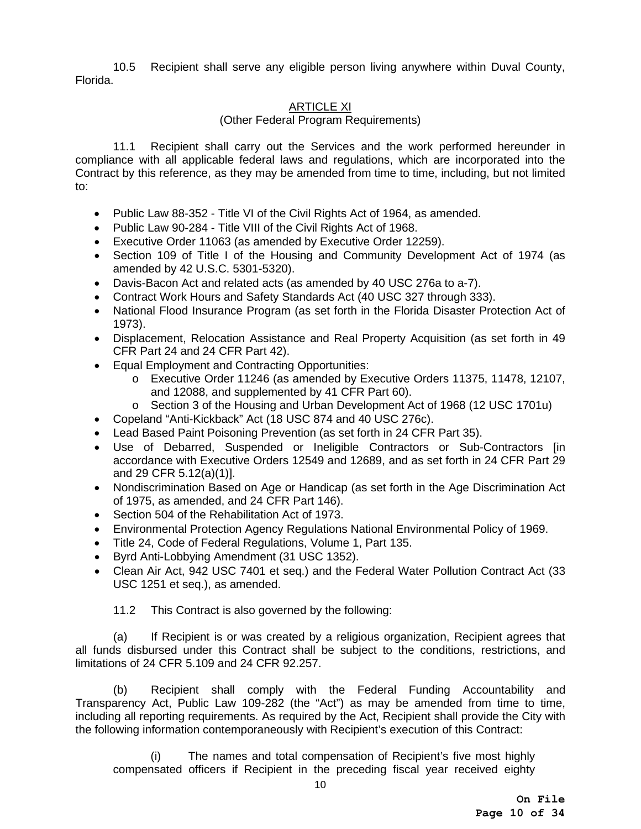10.5 Recipient shall serve any eligible person living anywhere within Duval County, Florida.

# ARTICLE XI

## (Other Federal Program Requirements)

11.1 Recipient shall carry out the Services and the work performed hereunder in compliance with all applicable federal laws and regulations, which are incorporated into the Contract by this reference, as they may be amended from time to time, including, but not limited to:

- Public Law 88-352 Title VI of the Civil Rights Act of 1964, as amended.
- Public Law 90-284 Title VIII of the Civil Rights Act of 1968.
- Executive Order 11063 (as amended by Executive Order 12259).
- Section 109 of Title I of the Housing and Community Development Act of 1974 (as amended by 42 U.S.C. 5301-5320).
- Davis-Bacon Act and related acts (as amended by 40 USC 276a to a-7).
- Contract Work Hours and Safety Standards Act (40 USC 327 through 333).
- National Flood Insurance Program (as set forth in the Florida Disaster Protection Act of 1973).
- Displacement, Relocation Assistance and Real Property Acquisition (as set forth in 49 CFR Part 24 and 24 CFR Part 42).
- Equal Employment and Contracting Opportunities:
	- o Executive Order 11246 (as amended by Executive Orders 11375, 11478, 12107, and 12088, and supplemented by 41 CFR Part 60).
	- o Section 3 of the Housing and Urban Development Act of 1968 (12 USC 1701u)
- Copeland "Anti-Kickback" Act (18 USC 874 and 40 USC 276c).
- Lead Based Paint Poisoning Prevention (as set forth in 24 CFR Part 35).
- Use of Debarred, Suspended or Ineligible Contractors or Sub-Contractors [in accordance with Executive Orders 12549 and 12689, and as set forth in 24 CFR Part 29 and 29 CFR 5.12(a)(1)].
- Nondiscrimination Based on Age or Handicap (as set forth in the Age Discrimination Act of 1975, as amended, and 24 CFR Part 146).
- Section 504 of the Rehabilitation Act of 1973.
- Environmental Protection Agency Regulations National Environmental Policy of 1969.
- Title 24, Code of Federal Regulations, Volume 1, Part 135.
- Byrd Anti-Lobbying Amendment (31 USC 1352).
- Clean Air Act, 942 USC 7401 et seq.) and the Federal Water Pollution Contract Act (33 USC 1251 et seq.), as amended.

11.2 This Contract is also governed by the following:

(a) If Recipient is or was created by a religious organization, Recipient agrees that all funds disbursed under this Contract shall be subject to the conditions, restrictions, and limitations of 24 CFR 5.109 and 24 CFR 92.257.

(b) Recipient shall comply with the Federal Funding Accountability and Transparency Act, Public Law 109-282 (the "Act") as may be amended from time to time, including all reporting requirements. As required by the Act, Recipient shall provide the City with the following information contemporaneously with Recipient's execution of this Contract:

(i) The names and total compensation of Recipient's five most highly compensated officers if Recipient in the preceding fiscal year received eighty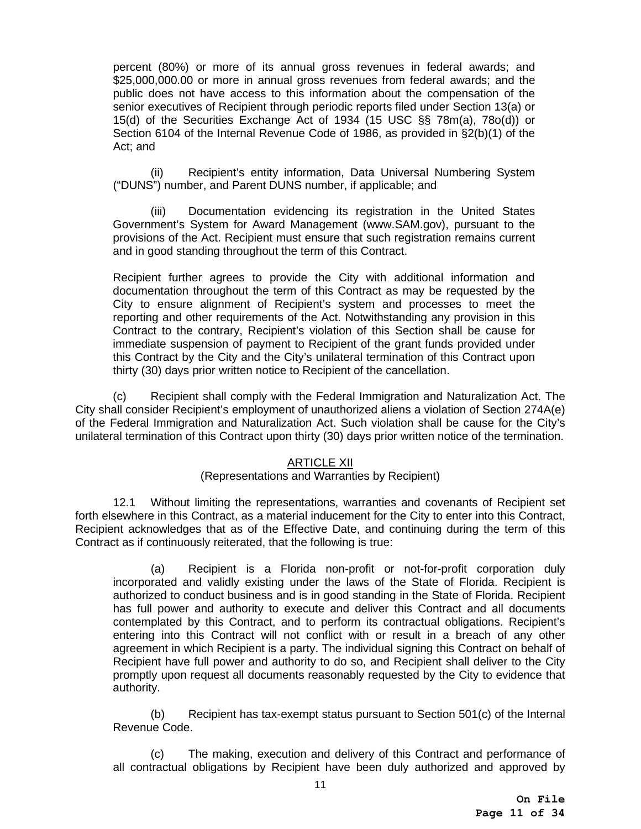percent (80%) or more of its annual gross revenues in federal awards; and \$25,000,000.00 or more in annual gross revenues from federal awards; and the public does not have access to this information about the compensation of the senior executives of Recipient through periodic reports filed under Section 13(a) or 15(d) of the Securities Exchange Act of 1934 (15 USC §§ 78m(a), 78o(d)) or Section 6104 of the Internal Revenue Code of 1986, as provided in §2(b)(1) of the Act; and

(ii) Recipient's entity information, Data Universal Numbering System ("DUNS") number, and Parent DUNS number, if applicable; and

 (iii) Documentation evidencing its registration in the United States Government's System for Award Management (www.SAM.gov), pursuant to the provisions of the Act. Recipient must ensure that such registration remains current and in good standing throughout the term of this Contract.

Recipient further agrees to provide the City with additional information and documentation throughout the term of this Contract as may be requested by the City to ensure alignment of Recipient's system and processes to meet the reporting and other requirements of the Act. Notwithstanding any provision in this Contract to the contrary, Recipient's violation of this Section shall be cause for immediate suspension of payment to Recipient of the grant funds provided under this Contract by the City and the City's unilateral termination of this Contract upon thirty (30) days prior written notice to Recipient of the cancellation.

(c) Recipient shall comply with the Federal Immigration and Naturalization Act. The City shall consider Recipient's employment of unauthorized aliens a violation of Section 274A(e) of the Federal Immigration and Naturalization Act. Such violation shall be cause for the City's unilateral termination of this Contract upon thirty (30) days prior written notice of the termination.

# ARTICLE XII

# (Representations and Warranties by Recipient)

12.1 Without limiting the representations, warranties and covenants of Recipient set forth elsewhere in this Contract, as a material inducement for the City to enter into this Contract, Recipient acknowledges that as of the Effective Date, and continuing during the term of this Contract as if continuously reiterated, that the following is true:

(a) Recipient is a Florida non-profit or not-for-profit corporation duly incorporated and validly existing under the laws of the State of Florida. Recipient is authorized to conduct business and is in good standing in the State of Florida. Recipient has full power and authority to execute and deliver this Contract and all documents contemplated by this Contract, and to perform its contractual obligations. Recipient's entering into this Contract will not conflict with or result in a breach of any other agreement in which Recipient is a party. The individual signing this Contract on behalf of Recipient have full power and authority to do so, and Recipient shall deliver to the City promptly upon request all documents reasonably requested by the City to evidence that authority.

(b) Recipient has tax-exempt status pursuant to Section 501(c) of the Internal Revenue Code.

(c) The making, execution and delivery of this Contract and performance of all contractual obligations by Recipient have been duly authorized and approved by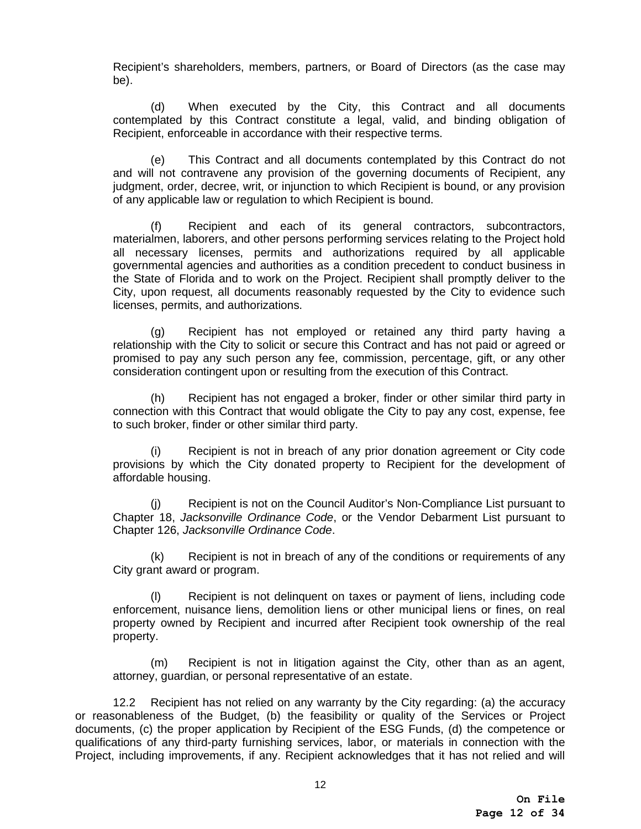Recipient's shareholders, members, partners, or Board of Directors (as the case may be).

(d) When executed by the City, this Contract and all documents contemplated by this Contract constitute a legal, valid, and binding obligation of Recipient, enforceable in accordance with their respective terms.

(e) This Contract and all documents contemplated by this Contract do not and will not contravene any provision of the governing documents of Recipient, any judgment, order, decree, writ, or injunction to which Recipient is bound, or any provision of any applicable law or regulation to which Recipient is bound.

(f) Recipient and each of its general contractors, subcontractors, materialmen, laborers, and other persons performing services relating to the Project hold all necessary licenses, permits and authorizations required by all applicable governmental agencies and authorities as a condition precedent to conduct business in the State of Florida and to work on the Project. Recipient shall promptly deliver to the City, upon request, all documents reasonably requested by the City to evidence such licenses, permits, and authorizations.

(g) Recipient has not employed or retained any third party having a relationship with the City to solicit or secure this Contract and has not paid or agreed or promised to pay any such person any fee, commission, percentage, gift, or any other consideration contingent upon or resulting from the execution of this Contract.

(h) Recipient has not engaged a broker, finder or other similar third party in connection with this Contract that would obligate the City to pay any cost, expense, fee to such broker, finder or other similar third party.

(i) Recipient is not in breach of any prior donation agreement or City code provisions by which the City donated property to Recipient for the development of affordable housing.

(j) Recipient is not on the Council Auditor's Non-Compliance List pursuant to Chapter 18, *Jacksonville Ordinance Code*, or the Vendor Debarment List pursuant to Chapter 126, *Jacksonville Ordinance Code*.

(k) Recipient is not in breach of any of the conditions or requirements of any City grant award or program.

(l) Recipient is not delinquent on taxes or payment of liens, including code enforcement, nuisance liens, demolition liens or other municipal liens or fines, on real property owned by Recipient and incurred after Recipient took ownership of the real property.

(m) Recipient is not in litigation against the City, other than as an agent, attorney, guardian, or personal representative of an estate.

12.2 Recipient has not relied on any warranty by the City regarding: (a) the accuracy or reasonableness of the Budget, (b) the feasibility or quality of the Services or Project documents, (c) the proper application by Recipient of the ESG Funds, (d) the competence or qualifications of any third-party furnishing services, labor, or materials in connection with the Project, including improvements, if any. Recipient acknowledges that it has not relied and will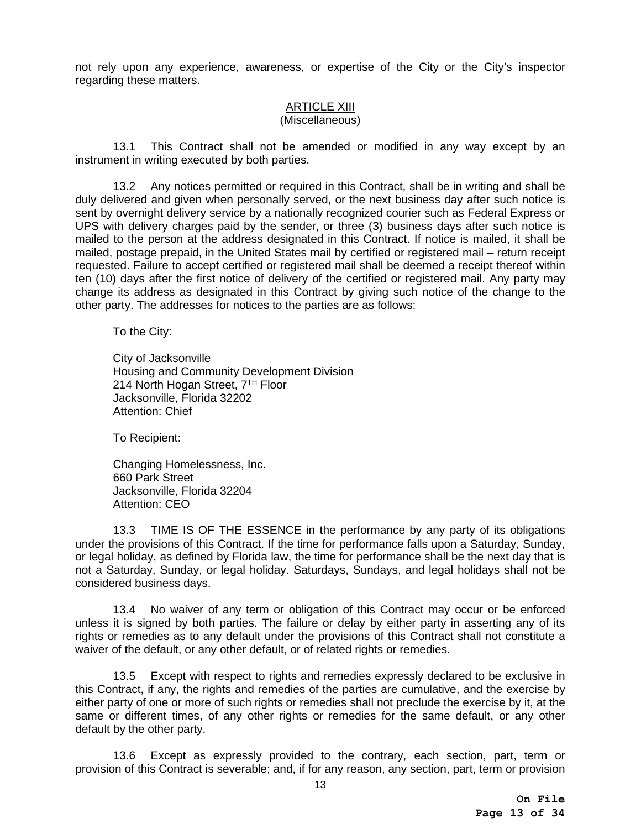not rely upon any experience, awareness, or expertise of the City or the City's inspector regarding these matters.

# ARTICLE XIII

# (Miscellaneous)

13.1 This Contract shall not be amended or modified in any way except by an instrument in writing executed by both parties.

13.2 Any notices permitted or required in this Contract, shall be in writing and shall be duly delivered and given when personally served, or the next business day after such notice is sent by overnight delivery service by a nationally recognized courier such as Federal Express or UPS with delivery charges paid by the sender, or three (3) business days after such notice is mailed to the person at the address designated in this Contract. If notice is mailed, it shall be mailed, postage prepaid, in the United States mail by certified or registered mail – return receipt requested. Failure to accept certified or registered mail shall be deemed a receipt thereof within ten (10) days after the first notice of delivery of the certified or registered mail. Any party may change its address as designated in this Contract by giving such notice of the change to the other party. The addresses for notices to the parties are as follows:

To the City:

City of Jacksonville Housing and Community Development Division 214 North Hogan Street,  $7<sup>TH</sup>$  Floor Jacksonville, Florida 32202 Attention: Chief

To Recipient:

Changing Homelessness, Inc. 660 Park Street Jacksonville, Florida 32204 Attention: CEO

13.3 TIME IS OF THE ESSENCE in the performance by any party of its obligations under the provisions of this Contract. If the time for performance falls upon a Saturday, Sunday, or legal holiday, as defined by Florida law, the time for performance shall be the next day that is not a Saturday, Sunday, or legal holiday. Saturdays, Sundays, and legal holidays shall not be considered business days.

13.4 No waiver of any term or obligation of this Contract may occur or be enforced unless it is signed by both parties. The failure or delay by either party in asserting any of its rights or remedies as to any default under the provisions of this Contract shall not constitute a waiver of the default, or any other default, or of related rights or remedies.

13.5 Except with respect to rights and remedies expressly declared to be exclusive in this Contract, if any, the rights and remedies of the parties are cumulative, and the exercise by either party of one or more of such rights or remedies shall not preclude the exercise by it, at the same or different times, of any other rights or remedies for the same default, or any other default by the other party.

13.6 Except as expressly provided to the contrary, each section, part, term or provision of this Contract is severable; and, if for any reason, any section, part, term or provision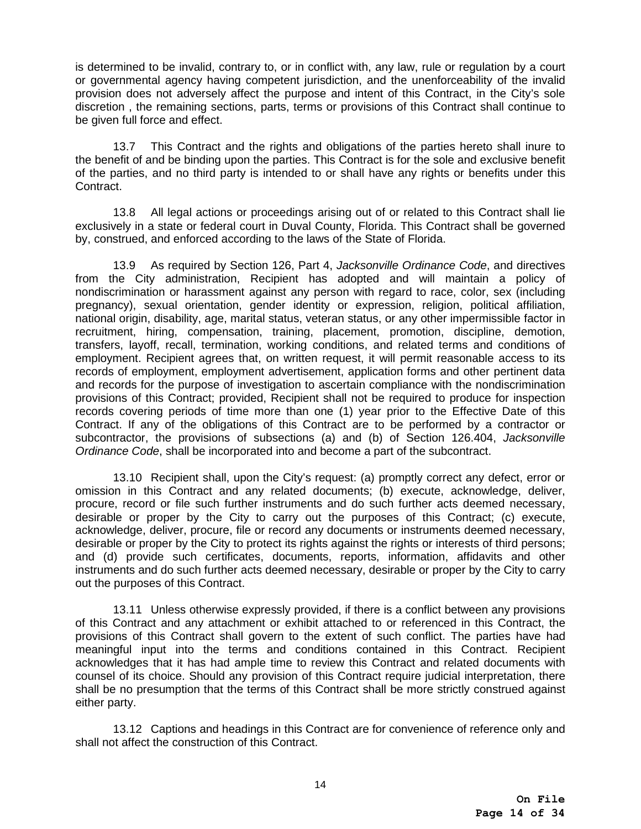is determined to be invalid, contrary to, or in conflict with, any law, rule or regulation by a court or governmental agency having competent jurisdiction, and the unenforceability of the invalid provision does not adversely affect the purpose and intent of this Contract, in the City's sole discretion , the remaining sections, parts, terms or provisions of this Contract shall continue to be given full force and effect.

13.7 This Contract and the rights and obligations of the parties hereto shall inure to the benefit of and be binding upon the parties. This Contract is for the sole and exclusive benefit of the parties, and no third party is intended to or shall have any rights or benefits under this Contract.

13.8 All legal actions or proceedings arising out of or related to this Contract shall lie exclusively in a state or federal court in Duval County, Florida. This Contract shall be governed by, construed, and enforced according to the laws of the State of Florida.

13.9 As required by Section 126, Part 4, *Jacksonville Ordinance Code*, and directives from the City administration, Recipient has adopted and will maintain a policy of nondiscrimination or harassment against any person with regard to race, color, sex (including pregnancy), sexual orientation, gender identity or expression, religion, political affiliation, national origin, disability, age, marital status, veteran status, or any other impermissible factor in recruitment, hiring, compensation, training, placement, promotion, discipline, demotion, transfers, layoff, recall, termination, working conditions, and related terms and conditions of employment. Recipient agrees that, on written request, it will permit reasonable access to its records of employment, employment advertisement, application forms and other pertinent data and records for the purpose of investigation to ascertain compliance with the nondiscrimination provisions of this Contract; provided, Recipient shall not be required to produce for inspection records covering periods of time more than one (1) year prior to the Effective Date of this Contract. If any of the obligations of this Contract are to be performed by a contractor or subcontractor, the provisions of subsections (a) and (b) of Section 126.404, *Jacksonville Ordinance Code*, shall be incorporated into and become a part of the subcontract.

13.10 Recipient shall, upon the City's request: (a) promptly correct any defect, error or omission in this Contract and any related documents; (b) execute, acknowledge, deliver, procure, record or file such further instruments and do such further acts deemed necessary, desirable or proper by the City to carry out the purposes of this Contract; (c) execute, acknowledge, deliver, procure, file or record any documents or instruments deemed necessary, desirable or proper by the City to protect its rights against the rights or interests of third persons; and (d) provide such certificates, documents, reports, information, affidavits and other instruments and do such further acts deemed necessary, desirable or proper by the City to carry out the purposes of this Contract.

13.11 Unless otherwise expressly provided, if there is a conflict between any provisions of this Contract and any attachment or exhibit attached to or referenced in this Contract, the provisions of this Contract shall govern to the extent of such conflict. The parties have had meaningful input into the terms and conditions contained in this Contract. Recipient acknowledges that it has had ample time to review this Contract and related documents with counsel of its choice. Should any provision of this Contract require judicial interpretation, there shall be no presumption that the terms of this Contract shall be more strictly construed against either party.

13.12 Captions and headings in this Contract are for convenience of reference only and shall not affect the construction of this Contract.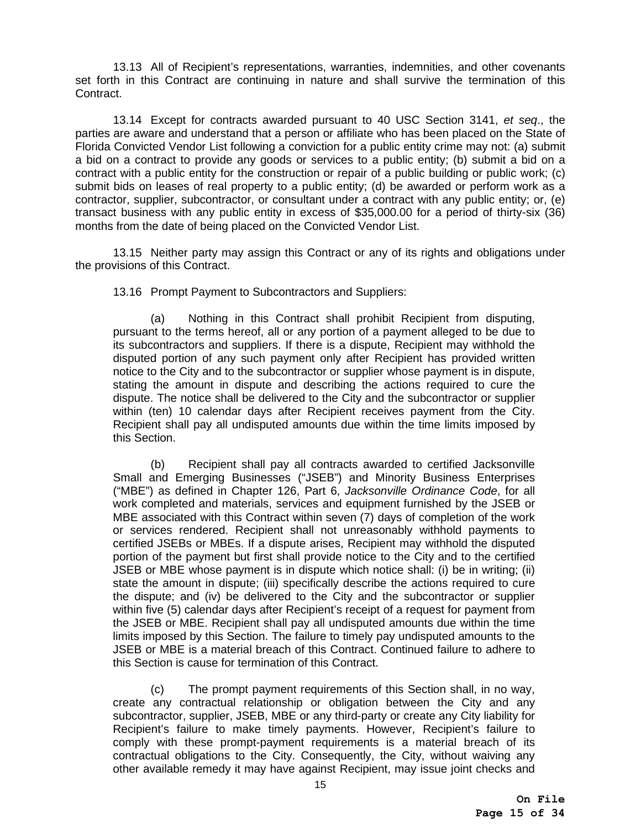13.13 All of Recipient's representations, warranties, indemnities, and other covenants set forth in this Contract are continuing in nature and shall survive the termination of this Contract.

13.14 Except for contracts awarded pursuant to 40 USC Section 3141, *et seq*., the parties are aware and understand that a person or affiliate who has been placed on the State of Florida Convicted Vendor List following a conviction for a public entity crime may not: (a) submit a bid on a contract to provide any goods or services to a public entity; (b) submit a bid on a contract with a public entity for the construction or repair of a public building or public work; (c) submit bids on leases of real property to a public entity; (d) be awarded or perform work as a contractor, supplier, subcontractor, or consultant under a contract with any public entity; or, (e) transact business with any public entity in excess of \$35,000.00 for a period of thirty-six (36) months from the date of being placed on the Convicted Vendor List.

13.15 Neither party may assign this Contract or any of its rights and obligations under the provisions of this Contract.

13.16 Prompt Payment to Subcontractors and Suppliers:

(a) Nothing in this Contract shall prohibit Recipient from disputing, pursuant to the terms hereof, all or any portion of a payment alleged to be due to its subcontractors and suppliers. If there is a dispute, Recipient may withhold the disputed portion of any such payment only after Recipient has provided written notice to the City and to the subcontractor or supplier whose payment is in dispute, stating the amount in dispute and describing the actions required to cure the dispute. The notice shall be delivered to the City and the subcontractor or supplier within (ten) 10 calendar days after Recipient receives payment from the City. Recipient shall pay all undisputed amounts due within the time limits imposed by this Section.

(b) Recipient shall pay all contracts awarded to certified Jacksonville Small and Emerging Businesses ("JSEB") and Minority Business Enterprises ("MBE") as defined in Chapter 126, Part 6, *Jacksonville Ordinance Code*, for all work completed and materials, services and equipment furnished by the JSEB or MBE associated with this Contract within seven (7) days of completion of the work or services rendered. Recipient shall not unreasonably withhold payments to certified JSEBs or MBEs. If a dispute arises, Recipient may withhold the disputed portion of the payment but first shall provide notice to the City and to the certified JSEB or MBE whose payment is in dispute which notice shall: (i) be in writing; (ii) state the amount in dispute; (iii) specifically describe the actions required to cure the dispute; and (iv) be delivered to the City and the subcontractor or supplier within five (5) calendar days after Recipient's receipt of a request for payment from the JSEB or MBE. Recipient shall pay all undisputed amounts due within the time limits imposed by this Section. The failure to timely pay undisputed amounts to the JSEB or MBE is a material breach of this Contract. Continued failure to adhere to this Section is cause for termination of this Contract.

(c) The prompt payment requirements of this Section shall, in no way, create any contractual relationship or obligation between the City and any subcontractor, supplier, JSEB, MBE or any third-party or create any City liability for Recipient's failure to make timely payments. However, Recipient's failure to comply with these prompt-payment requirements is a material breach of its contractual obligations to the City. Consequently, the City, without waiving any other available remedy it may have against Recipient, may issue joint checks and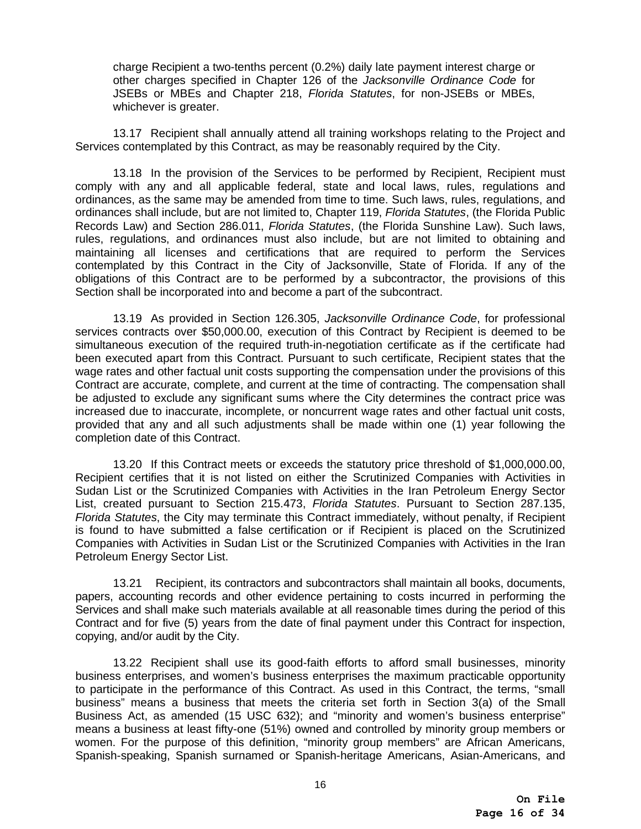charge Recipient a two-tenths percent (0.2%) daily late payment interest charge or other charges specified in Chapter 126 of the *Jacksonville Ordinance Code* for JSEBs or MBEs and Chapter 218, *Florida Statutes*, for non-JSEBs or MBEs, whichever is greater.

13.17 Recipient shall annually attend all training workshops relating to the Project and Services contemplated by this Contract, as may be reasonably required by the City.

13.18 In the provision of the Services to be performed by Recipient, Recipient must comply with any and all applicable federal, state and local laws, rules, regulations and ordinances, as the same may be amended from time to time. Such laws, rules, regulations, and ordinances shall include, but are not limited to, Chapter 119, *Florida Statutes*, (the Florida Public Records Law) and Section 286.011, *Florida Statutes*, (the Florida Sunshine Law). Such laws, rules, regulations, and ordinances must also include, but are not limited to obtaining and maintaining all licenses and certifications that are required to perform the Services contemplated by this Contract in the City of Jacksonville, State of Florida. If any of the obligations of this Contract are to be performed by a subcontractor, the provisions of this Section shall be incorporated into and become a part of the subcontract.

13.19 As provided in Section 126.305, *Jacksonville Ordinance Code*, for professional services contracts over \$50,000.00, execution of this Contract by Recipient is deemed to be simultaneous execution of the required truth-in-negotiation certificate as if the certificate had been executed apart from this Contract. Pursuant to such certificate, Recipient states that the wage rates and other factual unit costs supporting the compensation under the provisions of this Contract are accurate, complete, and current at the time of contracting. The compensation shall be adjusted to exclude any significant sums where the City determines the contract price was increased due to inaccurate, incomplete, or noncurrent wage rates and other factual unit costs, provided that any and all such adjustments shall be made within one (1) year following the completion date of this Contract.

13.20 If this Contract meets or exceeds the statutory price threshold of \$1,000,000.00, Recipient certifies that it is not listed on either the Scrutinized Companies with Activities in Sudan List or the Scrutinized Companies with Activities in the Iran Petroleum Energy Sector List, created pursuant to Section 215.473, *Florida Statutes*. Pursuant to Section 287.135, *Florida Statutes*, the City may terminate this Contract immediately, without penalty, if Recipient is found to have submitted a false certification or if Recipient is placed on the Scrutinized Companies with Activities in Sudan List or the Scrutinized Companies with Activities in the Iran Petroleum Energy Sector List.

13.21 Recipient, its contractors and subcontractors shall maintain all books, documents, papers, accounting records and other evidence pertaining to costs incurred in performing the Services and shall make such materials available at all reasonable times during the period of this Contract and for five (5) years from the date of final payment under this Contract for inspection, copying, and/or audit by the City.

13.22 Recipient shall use its good-faith efforts to afford small businesses, minority business enterprises, and women's business enterprises the maximum practicable opportunity to participate in the performance of this Contract. As used in this Contract, the terms, "small business" means a business that meets the criteria set forth in Section 3(a) of the Small Business Act, as amended (15 USC 632); and "minority and women's business enterprise" means a business at least fifty-one (51%) owned and controlled by minority group members or women. For the purpose of this definition, "minority group members" are African Americans, Spanish-speaking, Spanish surnamed or Spanish-heritage Americans, Asian-Americans, and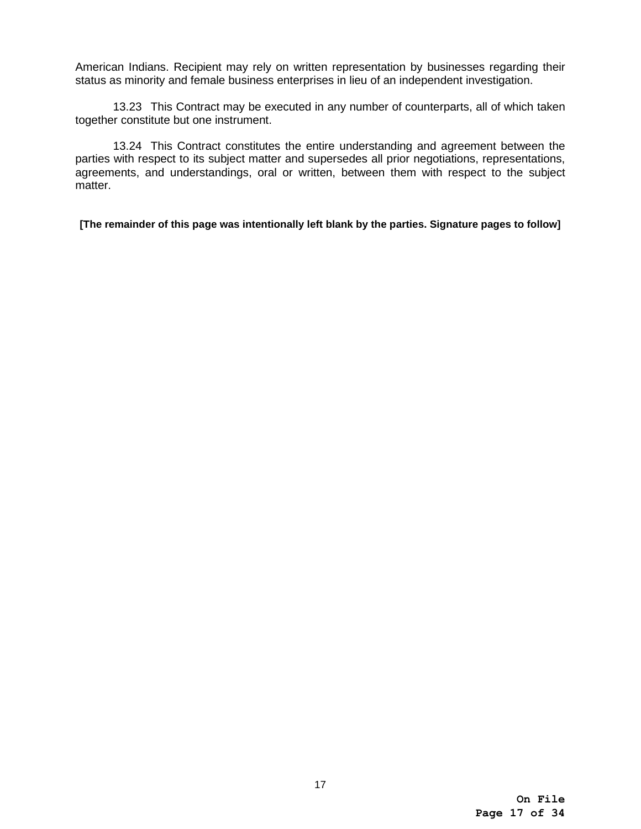American Indians. Recipient may rely on written representation by businesses regarding their status as minority and female business enterprises in lieu of an independent investigation.

13.23 This Contract may be executed in any number of counterparts, all of which taken together constitute but one instrument.

13.24 This Contract constitutes the entire understanding and agreement between the parties with respect to its subject matter and supersedes all prior negotiations, representations, agreements, and understandings, oral or written, between them with respect to the subject matter.

**[The remainder of this page was intentionally left blank by the parties. Signature pages to follow]**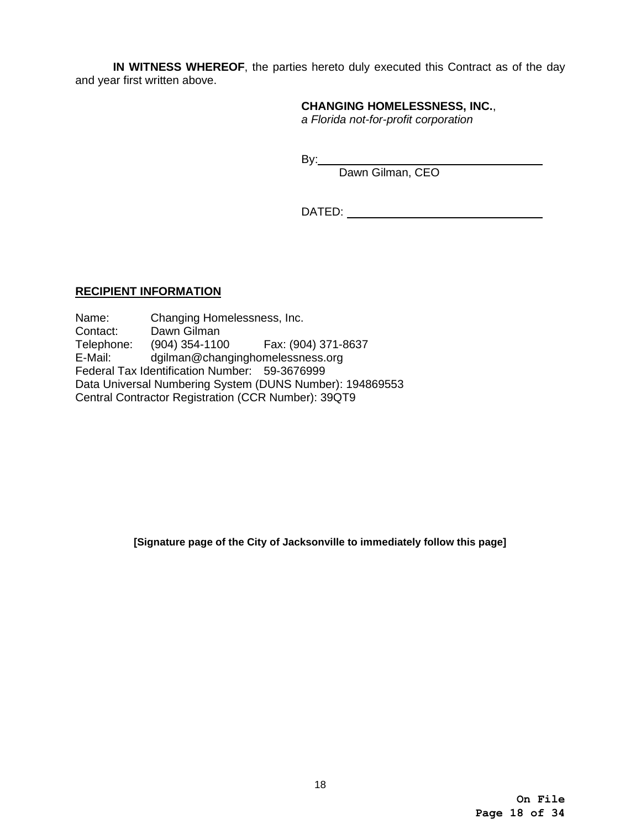**IN WITNESS WHEREOF**, the parties hereto duly executed this Contract as of the day and year first written above.

#### **CHANGING HOMELESSNESS, INC.**,

*a Florida not-for-profit corporation*

end a state of the By: the By:

Dawn Gilman, CEO

DATED:

## **RECIPIENT INFORMATION**

Name: Changing Homelessness, Inc. Contact: Dawn Gilman Telephone: (904) 354-1100 Fax: (904) 371-8637<br>E-Mail: dgilman@changinghomelessness.org dgilman@changinghomelessness.org Federal Tax Identification Number: 59-3676999 Data Universal Numbering System (DUNS Number): 194869553 Central Contractor Registration (CCR Number): 39QT9

**[Signature page of the City of Jacksonville to immediately follow this page]**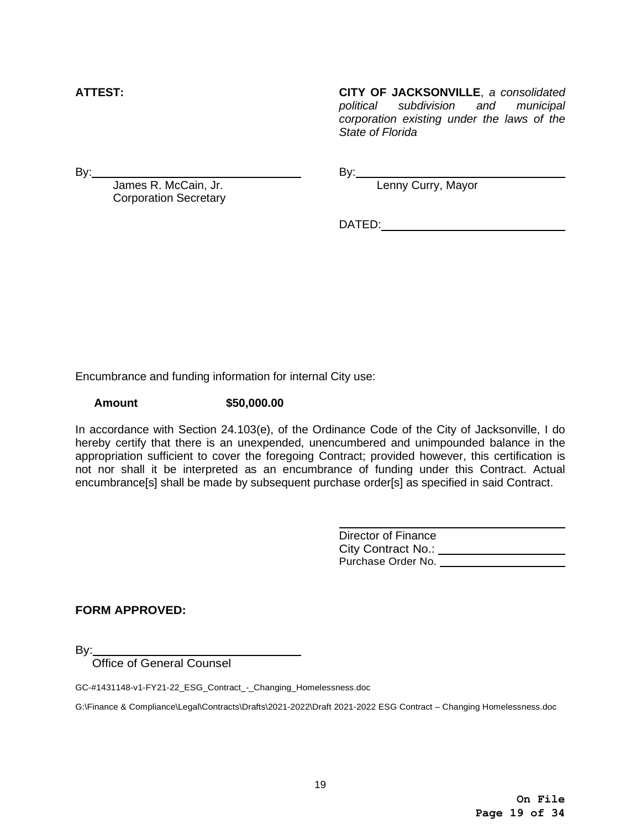**ATTEST: CITY OF JACKSONVILLE**, *a consolidated political subdivision and municipal corporation existing under the laws of the State of Florida*

By: By:

James R. McCain, Jr. No. 2006. Exercise By: Lenny Curry, Mayor Corporation Secretary

DATED:

Encumbrance and funding information for internal City use:

**Amount \$50,000.00**

In accordance with Section 24.103(e), of the Ordinance Code of the City of Jacksonville, I do hereby certify that there is an unexpended, unencumbered and unimpounded balance in the appropriation sufficient to cover the foregoing Contract; provided however, this certification is not nor shall it be interpreted as an encumbrance of funding under this Contract. Actual encumbrance[s] shall be made by subsequent purchase order[s] as specified in said Contract.

> Director of Finance City Contract No.: \_\_\_\_\_\_\_\_\_\_\_\_\_\_\_\_\_\_\_\_ Purchase Order No.

**FORM APPROVED:**

By:

Office of General Counsel

GC-#1431148-v1-FY21-22\_ESG\_Contract\_-\_Changing\_Homelessness.doc

G:\Finance & Compliance\Legal\Contracts\Drafts\2021-2022\Draft 2021-2022 ESG Contract – Changing Homelessness.doc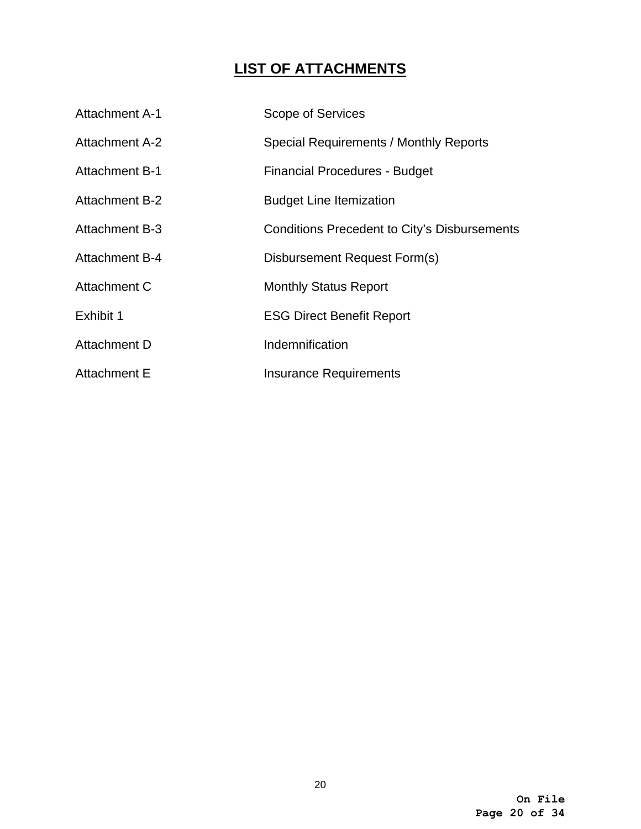# **LIST OF ATTACHMENTS**

| <b>Attachment A-1</b> | Scope of Services                                   |
|-----------------------|-----------------------------------------------------|
| <b>Attachment A-2</b> | Special Requirements / Monthly Reports              |
| <b>Attachment B-1</b> | <b>Financial Procedures - Budget</b>                |
| <b>Attachment B-2</b> | <b>Budget Line Itemization</b>                      |
| <b>Attachment B-3</b> | <b>Conditions Precedent to City's Disbursements</b> |
| <b>Attachment B-4</b> | Disbursement Request Form(s)                        |
| Attachment C          | <b>Monthly Status Report</b>                        |
| Exhibit 1             | <b>ESG Direct Benefit Report</b>                    |
| Attachment D          | Indemnification                                     |
| <b>Attachment E</b>   | <b>Insurance Requirements</b>                       |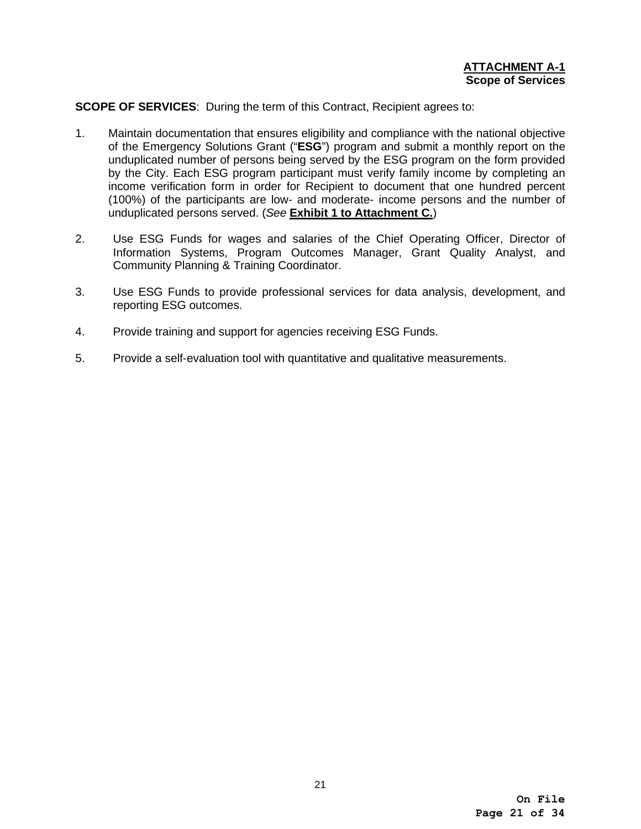# **SCOPE OF SERVICES**: During the term of this Contract, Recipient agrees to:

- 1. Maintain documentation that ensures eligibility and compliance with the national objective of the Emergency Solutions Grant ("**ESG**") program and submit a monthly report on the unduplicated number of persons being served by the ESG program on the form provided by the City. Each ESG program participant must verify family income by completing an income verification form in order for Recipient to document that one hundred percent (100%) of the participants are low- and moderate- income persons and the number of unduplicated persons served. (*See* **Exhibit 1 to Attachment C.**)
- 2. Use ESG Funds for wages and salaries of the Chief Operating Officer, Director of Information Systems, Program Outcomes Manager, Grant Quality Analyst, and Community Planning & Training Coordinator.
- 3. Use ESG Funds to provide professional services for data analysis, development, and reporting ESG outcomes.
- 4. Provide training and support for agencies receiving ESG Funds.
- 5. Provide a self-evaluation tool with quantitative and qualitative measurements.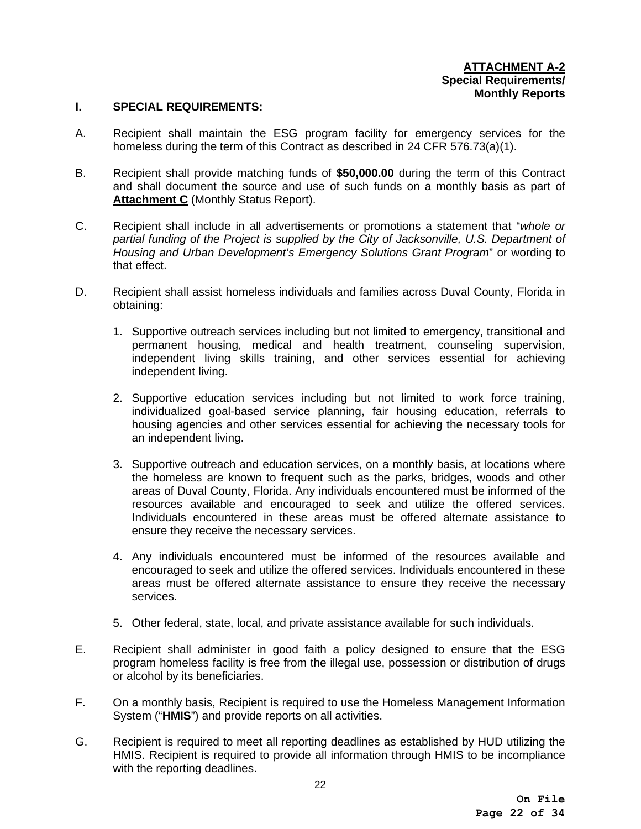#### **I. SPECIAL REQUIREMENTS:**

- A. Recipient shall maintain the ESG program facility for emergency services for the homeless during the term of this Contract as described in 24 CFR 576.73(a)(1).
- B. Recipient shall provide matching funds of **\$50,000.00** during the term of this Contract and shall document the source and use of such funds on a monthly basis as part of **Attachment C** (Monthly Status Report).
- C. Recipient shall include in all advertisements or promotions a statement that "*whole or partial funding of the Project is supplied by the City of Jacksonville, U.S. Department of Housing and Urban Development's Emergency Solutions Grant Program*" or wording to that effect.
- D. Recipient shall assist homeless individuals and families across Duval County, Florida in obtaining:
	- 1. Supportive outreach services including but not limited to emergency, transitional and permanent housing, medical and health treatment, counseling supervision, independent living skills training, and other services essential for achieving independent living.
	- 2. Supportive education services including but not limited to work force training, individualized goal-based service planning, fair housing education, referrals to housing agencies and other services essential for achieving the necessary tools for an independent living.
	- 3. Supportive outreach and education services, on a monthly basis, at locations where the homeless are known to frequent such as the parks, bridges, woods and other areas of Duval County, Florida. Any individuals encountered must be informed of the resources available and encouraged to seek and utilize the offered services. Individuals encountered in these areas must be offered alternate assistance to ensure they receive the necessary services.
	- 4. Any individuals encountered must be informed of the resources available and encouraged to seek and utilize the offered services. Individuals encountered in these areas must be offered alternate assistance to ensure they receive the necessary services.
	- 5. Other federal, state, local, and private assistance available for such individuals.
- E. Recipient shall administer in good faith a policy designed to ensure that the ESG program homeless facility is free from the illegal use, possession or distribution of drugs or alcohol by its beneficiaries.
- F. On a monthly basis, Recipient is required to use the Homeless Management Information System ("**HMIS**") and provide reports on all activities.
- G. Recipient is required to meet all reporting deadlines as established by HUD utilizing the HMIS. Recipient is required to provide all information through HMIS to be incompliance with the reporting deadlines.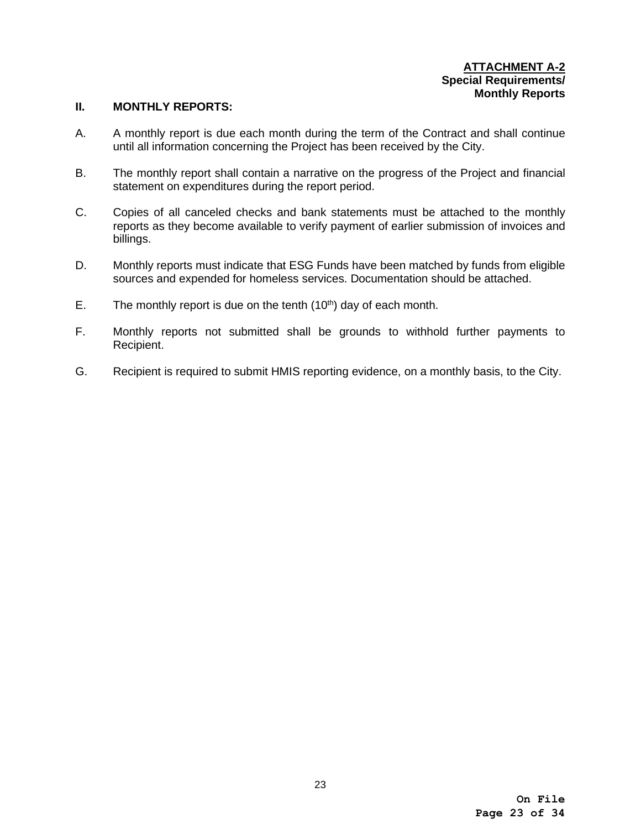#### **ATTACHMENT A-2 Special Requirements/ Monthly Reports**

# **II. MONTHLY REPORTS:**

- A. A monthly report is due each month during the term of the Contract and shall continue until all information concerning the Project has been received by the City.
- B. The monthly report shall contain a narrative on the progress of the Project and financial statement on expenditures during the report period.
- C. Copies of all canceled checks and bank statements must be attached to the monthly reports as they become available to verify payment of earlier submission of invoices and billings.
- D. Monthly reports must indicate that ESG Funds have been matched by funds from eligible sources and expended for homeless services. Documentation should be attached.
- E. The monthly report is due on the tenth  $(10<sup>th</sup>)$  day of each month.
- F. Monthly reports not submitted shall be grounds to withhold further payments to Recipient.
- G. Recipient is required to submit HMIS reporting evidence, on a monthly basis, to the City.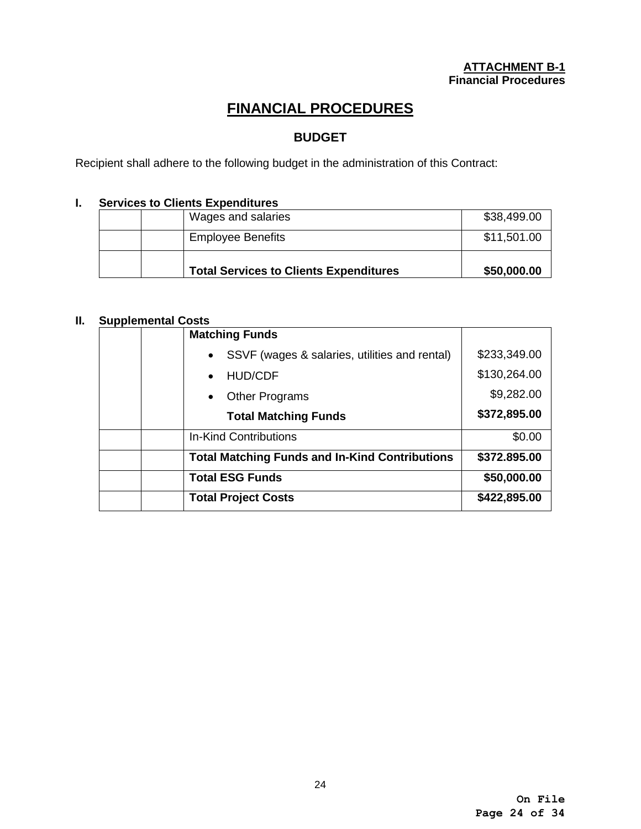# **FINANCIAL PROCEDURES**

# **BUDGET**

Recipient shall adhere to the following budget in the administration of this Contract:

# **I. Services to Clients Expenditures**

| Wages and salaries                            | \$38,499.00 |
|-----------------------------------------------|-------------|
| <b>Employee Benefits</b>                      | \$11,501.00 |
| <b>Total Services to Clients Expenditures</b> | \$50,000.00 |

# **II. Supplemental Costs**

| <b>Matching Funds</b>                                      |              |
|------------------------------------------------------------|--------------|
| SSVF (wages & salaries, utilities and rental)<br>$\bullet$ | \$233,349.00 |
| <b>HUD/CDF</b>                                             | \$130,264.00 |
| <b>Other Programs</b>                                      | \$9,282.00   |
| <b>Total Matching Funds</b>                                | \$372,895.00 |
| <b>In-Kind Contributions</b>                               | \$0.00       |
| <b>Total Matching Funds and In-Kind Contributions</b>      | \$372.895.00 |
| <b>Total ESG Funds</b>                                     | \$50,000.00  |
| <b>Total Project Costs</b>                                 | \$422,895.00 |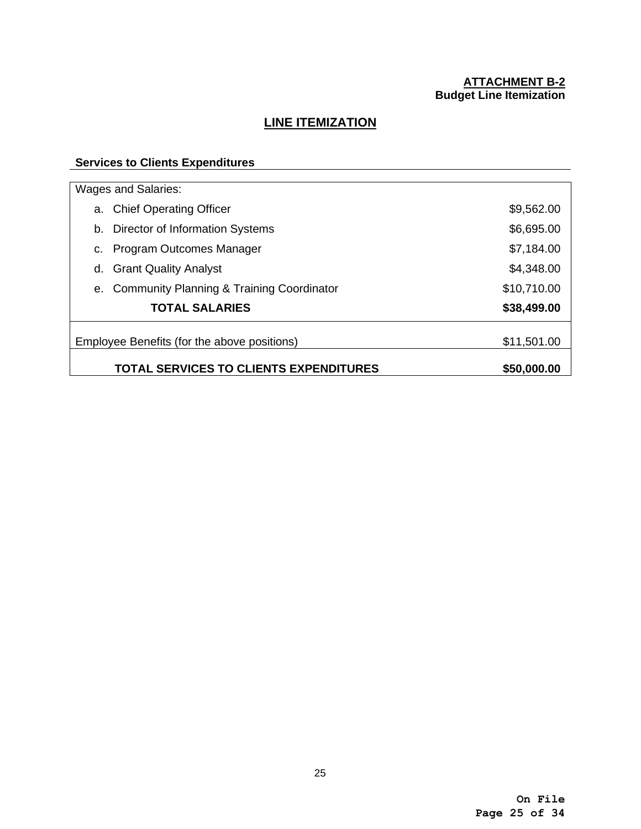# **ATTACHMENT B-2 Budget Line Itemization**

# **LINE ITEMIZATION**

# **Services to Clients Expenditures**

|    | Wages and Salaries:                                          |             |  |  |
|----|--------------------------------------------------------------|-------------|--|--|
|    | a. Chief Operating Officer                                   | \$9,562.00  |  |  |
| b. | Director of Information Systems                              | \$6,695.00  |  |  |
| c. | Program Outcomes Manager                                     | \$7,184.00  |  |  |
| d. | <b>Grant Quality Analyst</b>                                 | \$4,348.00  |  |  |
|    | e. Community Planning & Training Coordinator                 | \$10,710.00 |  |  |
|    | <b>TOTAL SALARIES</b>                                        | \$38,499.00 |  |  |
|    | Employee Benefits (for the above positions)                  | \$11,501.00 |  |  |
|    | <b>TOTAL SERVICES TO CLIENTS EXPENDITURES</b><br>\$50,000.00 |             |  |  |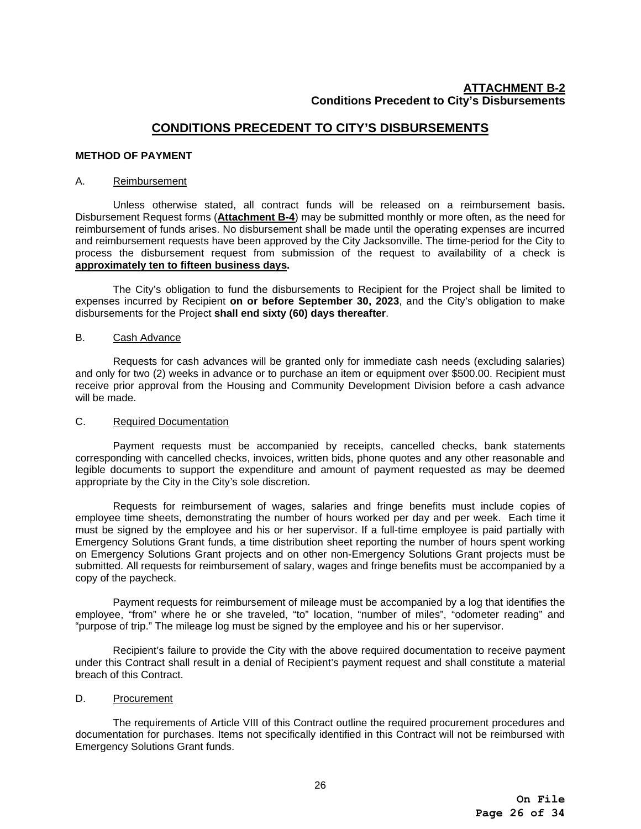# **ATTACHMENT B-2 Conditions Precedent to City's Disbursements**

# **CONDITIONS PRECEDENT TO CITY'S DISBURSEMENTS**

#### **METHOD OF PAYMENT**

#### A. Reimbursement

Unless otherwise stated, all contract funds will be released on a reimbursement basis**.** Disbursement Request forms (**Attachment B-4**) may be submitted monthly or more often, as the need for reimbursement of funds arises. No disbursement shall be made until the operating expenses are incurred and reimbursement requests have been approved by the City Jacksonville. The time-period for the City to process the disbursement request from submission of the request to availability of a check is **approximately ten to fifteen business days.**

The City's obligation to fund the disbursements to Recipient for the Project shall be limited to expenses incurred by Recipient **on or before September 30, 2023**, and the City's obligation to make disbursements for the Project **shall end sixty (60) days thereafter**.

#### B. Cash Advance

Requests for cash advances will be granted only for immediate cash needs (excluding salaries) and only for two (2) weeks in advance or to purchase an item or equipment over \$500.00. Recipient must receive prior approval from the Housing and Community Development Division before a cash advance will be made.

#### C. Required Documentation

Payment requests must be accompanied by receipts, cancelled checks, bank statements corresponding with cancelled checks, invoices, written bids, phone quotes and any other reasonable and legible documents to support the expenditure and amount of payment requested as may be deemed appropriate by the City in the City's sole discretion.

Requests for reimbursement of wages, salaries and fringe benefits must include copies of employee time sheets, demonstrating the number of hours worked per day and per week. Each time it must be signed by the employee and his or her supervisor. If a full-time employee is paid partially with Emergency Solutions Grant funds, a time distribution sheet reporting the number of hours spent working on Emergency Solutions Grant projects and on other non-Emergency Solutions Grant projects must be submitted. All requests for reimbursement of salary, wages and fringe benefits must be accompanied by a copy of the paycheck.

Payment requests for reimbursement of mileage must be accompanied by a log that identifies the employee, "from" where he or she traveled, "to" location, "number of miles", "odometer reading" and "purpose of trip." The mileage log must be signed by the employee and his or her supervisor.

Recipient's failure to provide the City with the above required documentation to receive payment under this Contract shall result in a denial of Recipient's payment request and shall constitute a material breach of this Contract.

#### D. Procurement

 The requirements of Article VIII of this Contract outline the required procurement procedures and documentation for purchases. Items not specifically identified in this Contract will not be reimbursed with Emergency Solutions Grant funds.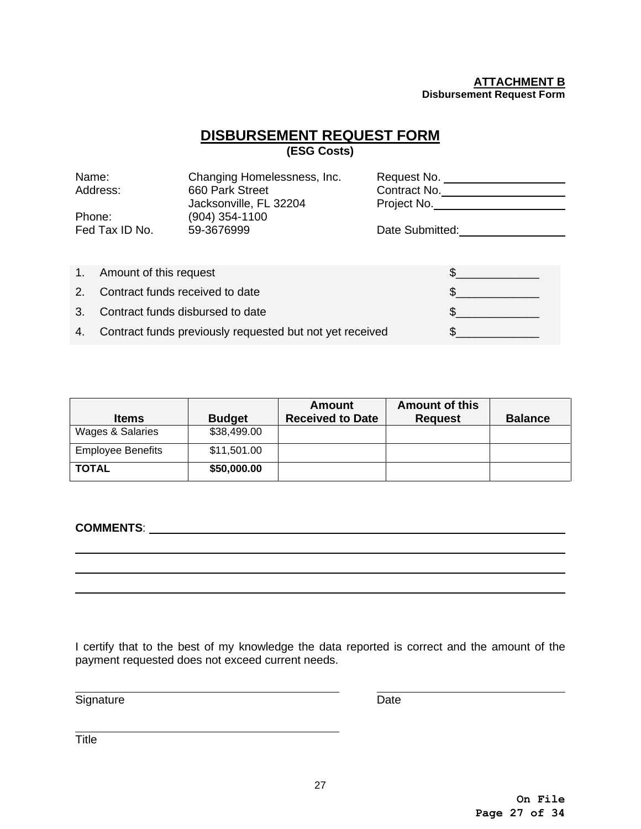#### **ATTACHMENT B Disbursement Request Form**

# **DISBURSEMENT REQUEST FORM**

**(ESG Costs)**

| Name:                       |                                  | Changing Homelessness, Inc.                              | Request No.                 |
|-----------------------------|----------------------------------|----------------------------------------------------------|-----------------------------|
| Address:                    |                                  | 660 Park Street<br>Jacksonville, FL 32204                | Contract No.<br>Project No. |
| Phone:                      |                                  | (904) 354-1100                                           |                             |
|                             | Fed Tax ID No.                   | 59-3676999                                               | Date Submitted:             |
|                             |                                  |                                                          |                             |
| 1 <sub>1</sub>              | Amount of this request           |                                                          |                             |
| 2 <sub>1</sub>              | Contract funds received to date  |                                                          |                             |
| $\mathcal{S}_{\mathcal{L}}$ | Contract funds disbursed to date |                                                          | $\mathbb{S}$                |
| 4.                          |                                  | Contract funds previously requested but not yet received |                             |

| <b>Items</b>             | <b>Budget</b> | <b>Amount</b><br><b>Received to Date</b> | <b>Amount of this</b><br><b>Request</b> | <b>Balance</b> |
|--------------------------|---------------|------------------------------------------|-----------------------------------------|----------------|
| Wages & Salaries         | \$38,499.00   |                                          |                                         |                |
| <b>Employee Benefits</b> | \$11,501.00   |                                          |                                         |                |
| <b>TOTAL</b>             | \$50,000.00   |                                          |                                         |                |

**COMMENTS**:

 $\overline{a}$  $\overline{a}$  $\overline{a}$ 

 $\overline{a}$ 

 $\overline{a}$ 

I certify that to the best of my knowledge the data reported is correct and the amount of the payment requested does not exceed current needs.

Signature Date

**Title**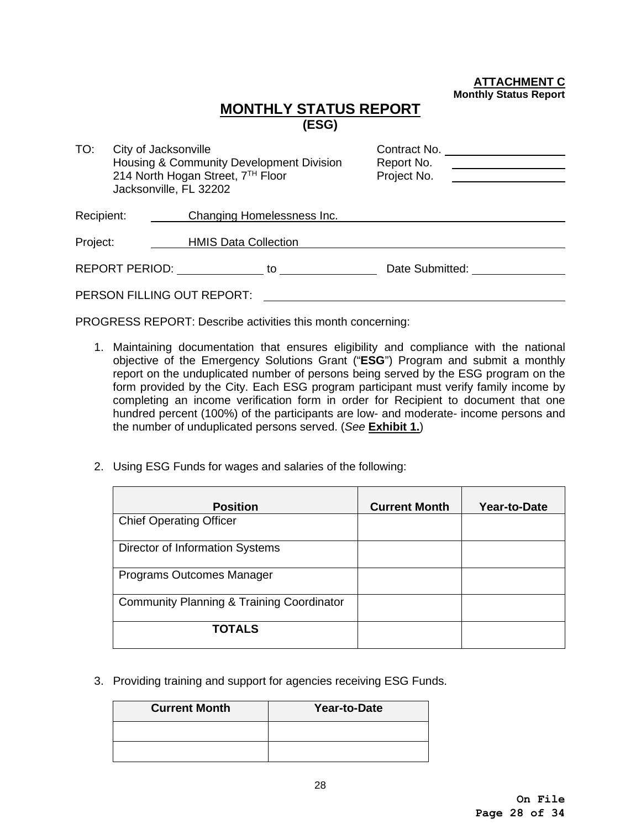**ATTACHMENT C Monthly Status Report**

# **MONTHLY STATUS REPORT (ESG)**

| TO:        |                | City of Jacksonville<br>Housing & Community Development Division<br>214 North Hogan Street, 7TH Floor<br>Jacksonville, FL 32202 |                            | Contract No.<br>Report No.<br>Project No. |  |
|------------|----------------|---------------------------------------------------------------------------------------------------------------------------------|----------------------------|-------------------------------------------|--|
| Recipient: |                |                                                                                                                                 | Changing Homelessness Inc. |                                           |  |
| Project:   |                | <b>HMIS Data Collection</b>                                                                                                     |                            |                                           |  |
|            | REPORT PERIOD: |                                                                                                                                 | to                         | Date Submitted:                           |  |
|            |                | PERSON FILLING OUT REPORT:                                                                                                      |                            |                                           |  |

PROGRESS REPORT: Describe activities this month concerning:

- 1. Maintaining documentation that ensures eligibility and compliance with the national objective of the Emergency Solutions Grant ("**ESG**") Program and submit a monthly report on the unduplicated number of persons being served by the ESG program on the form provided by the City. Each ESG program participant must verify family income by completing an income verification form in order for Recipient to document that one hundred percent (100%) of the participants are low- and moderate- income persons and the number of unduplicated persons served. (*See* **Exhibit 1.**)
- 2. Using ESG Funds for wages and salaries of the following:

| <b>Position</b>                           | <b>Current Month</b> | Year-to-Date |
|-------------------------------------------|----------------------|--------------|
| <b>Chief Operating Officer</b>            |                      |              |
| Director of Information Systems           |                      |              |
| Programs Outcomes Manager                 |                      |              |
| Community Planning & Training Coordinator |                      |              |
| <b>TOTALS</b>                             |                      |              |

3. Providing training and support for agencies receiving ESG Funds.

| <b>Current Month</b> | Year-to-Date |
|----------------------|--------------|
|                      |              |
|                      |              |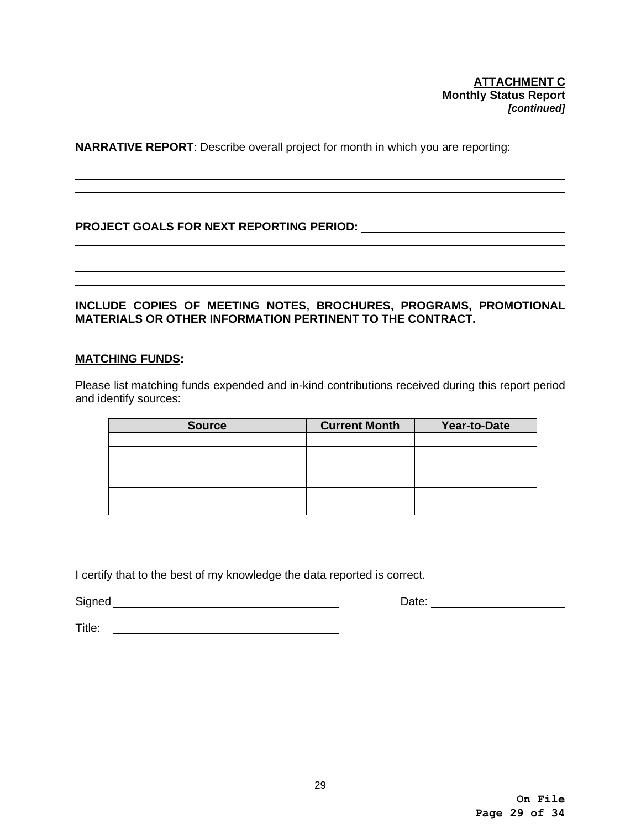**NARRATIVE REPORT**: Describe overall project for month in which you are reporting:

# **PROJECT GOALS FOR NEXT REPORTING PERIOD:**

# **INCLUDE COPIES OF MEETING NOTES, BROCHURES, PROGRAMS, PROMOTIONAL MATERIALS OR OTHER INFORMATION PERTINENT TO THE CONTRACT.**

## **MATCHING FUNDS:**

 $\overline{a}$ 

Please list matching funds expended and in-kind contributions received during this report period and identify sources:

| <b>Source</b> | <b>Current Month</b> | Year-to-Date |
|---------------|----------------------|--------------|
|               |                      |              |
|               |                      |              |
|               |                      |              |
|               |                      |              |
|               |                      |              |
|               |                      |              |

I certify that to the best of my knowledge the data reported is correct.

Signed Date:

Title: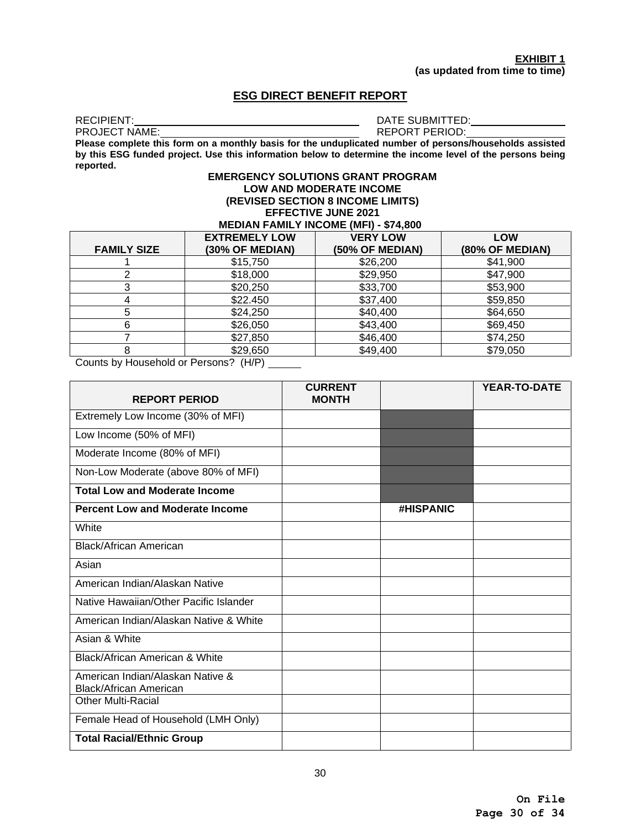### **ESG DIRECT BENEFIT REPORT**

RECIPIENT: DATE SUBMITTED:

REPORT PERIOD:

**Please complete this form on a monthly basis for the unduplicated number of persons/households assisted by this ESG funded project. Use this information below to determine the income level of the persons being reported.**

#### **EMERGENCY SOLUTIONS GRANT PROGRAM LOW AND MODERATE INCOME (REVISED SECTION 8 INCOME LIMITS) EFFECTIVE JUNE 2021**

#### **MEDIAN FAMILY INCOME (MFI) - \$74,800**

|                    | <b>EXTREMELY LOW</b> | <b>VERY LOW</b> | <b>LOW</b>      |
|--------------------|----------------------|-----------------|-----------------|
| <b>FAMILY SIZE</b> | (30% OF MEDIAN)      | (50% OF MEDIAN) | (80% OF MEDIAN) |
|                    | \$15,750             | \$26,200        | \$41,900        |
|                    | \$18,000             | \$29,950        | \$47,900        |
|                    | \$20,250             | \$33,700        | \$53,900        |
| 4                  | \$22.450             | \$37,400        | \$59,850        |
| 5                  | \$24,250             | \$40,400        | \$64,650        |
| 6                  | \$26,050             | \$43,400        | \$69,450        |
|                    | \$27,850             | \$46,400        | \$74,250        |
| 8                  | \$29,650             | \$49,400        | \$79,050        |

Counts by Household or Persons? (H/P)

| <b>REPORT PERIOD</b>                                       | <b>CURRENT</b><br><b>MONTH</b> |                  | <b>YEAR-TO-DATE</b> |
|------------------------------------------------------------|--------------------------------|------------------|---------------------|
| Extremely Low Income (30% of MFI)                          |                                |                  |                     |
| Low Income (50% of MFI)                                    |                                |                  |                     |
| Moderate Income (80% of MFI)                               |                                |                  |                     |
| Non-Low Moderate (above 80% of MFI)                        |                                |                  |                     |
| <b>Total Low and Moderate Income</b>                       |                                |                  |                     |
| <b>Percent Low and Moderate Income</b>                     |                                | <b>#HISPANIC</b> |                     |
| White                                                      |                                |                  |                     |
| Black/African American                                     |                                |                  |                     |
| Asian                                                      |                                |                  |                     |
| American Indian/Alaskan Native                             |                                |                  |                     |
| Native Hawaiian/Other Pacific Islander                     |                                |                  |                     |
| American Indian/Alaskan Native & White                     |                                |                  |                     |
| Asian & White                                              |                                |                  |                     |
| Black/African American & White                             |                                |                  |                     |
| American Indian/Alaskan Native &<br>Black/African American |                                |                  |                     |
| Other Multi-Racial                                         |                                |                  |                     |
| Female Head of Household (LMH Only)                        |                                |                  |                     |
| <b>Total Racial/Ethnic Group</b>                           |                                |                  |                     |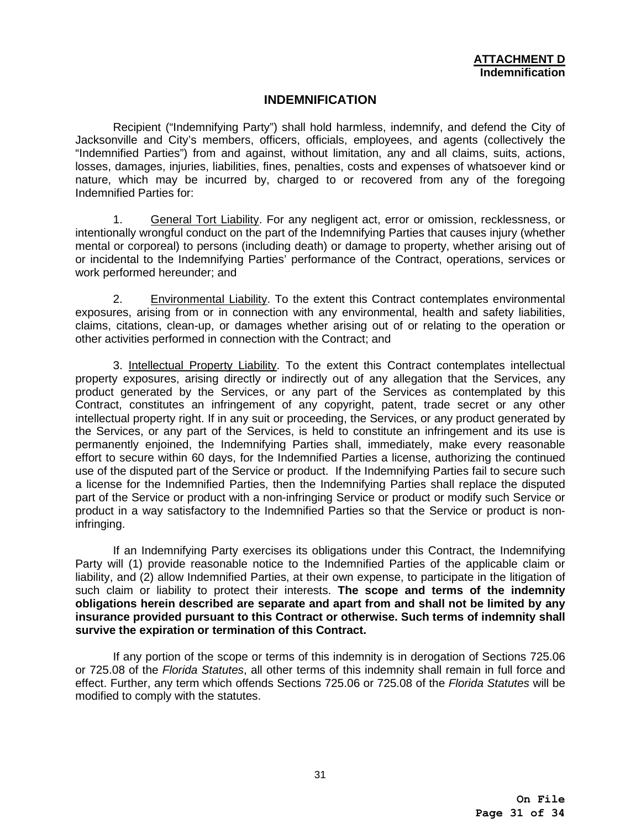# **INDEMNIFICATION**

Recipient ("Indemnifying Party") shall hold harmless, indemnify, and defend the City of Jacksonville and City's members, officers, officials, employees, and agents (collectively the "Indemnified Parties") from and against, without limitation, any and all claims, suits, actions, losses, damages, injuries, liabilities, fines, penalties, costs and expenses of whatsoever kind or nature, which may be incurred by, charged to or recovered from any of the foregoing Indemnified Parties for:

1. General Tort Liability. For any negligent act, error or omission, recklessness, or intentionally wrongful conduct on the part of the Indemnifying Parties that causes injury (whether mental or corporeal) to persons (including death) or damage to property, whether arising out of or incidental to the Indemnifying Parties' performance of the Contract, operations, services or work performed hereunder; and

2. Environmental Liability. To the extent this Contract contemplates environmental exposures, arising from or in connection with any environmental, health and safety liabilities, claims, citations, clean-up, or damages whether arising out of or relating to the operation or other activities performed in connection with the Contract; and

3. Intellectual Property Liability. To the extent this Contract contemplates intellectual property exposures, arising directly or indirectly out of any allegation that the Services, any product generated by the Services, or any part of the Services as contemplated by this Contract, constitutes an infringement of any copyright, patent, trade secret or any other intellectual property right. If in any suit or proceeding, the Services, or any product generated by the Services, or any part of the Services, is held to constitute an infringement and its use is permanently enjoined, the Indemnifying Parties shall, immediately, make every reasonable effort to secure within 60 days, for the Indemnified Parties a license, authorizing the continued use of the disputed part of the Service or product. If the Indemnifying Parties fail to secure such a license for the Indemnified Parties, then the Indemnifying Parties shall replace the disputed part of the Service or product with a non-infringing Service or product or modify such Service or product in a way satisfactory to the Indemnified Parties so that the Service or product is noninfringing.

If an Indemnifying Party exercises its obligations under this Contract, the Indemnifying Party will (1) provide reasonable notice to the Indemnified Parties of the applicable claim or liability, and (2) allow Indemnified Parties, at their own expense, to participate in the litigation of such claim or liability to protect their interests. **The scope and terms of the indemnity obligations herein described are separate and apart from and shall not be limited by any insurance provided pursuant to this Contract or otherwise. Such terms of indemnity shall survive the expiration or termination of this Contract.**

 If any portion of the scope or terms of this indemnity is in derogation of Sections 725.06 or 725.08 of the *Florida Statutes*, all other terms of this indemnity shall remain in full force and effect. Further, any term which offends Sections 725.06 or 725.08 of the *Florida Statutes* will be modified to comply with the statutes.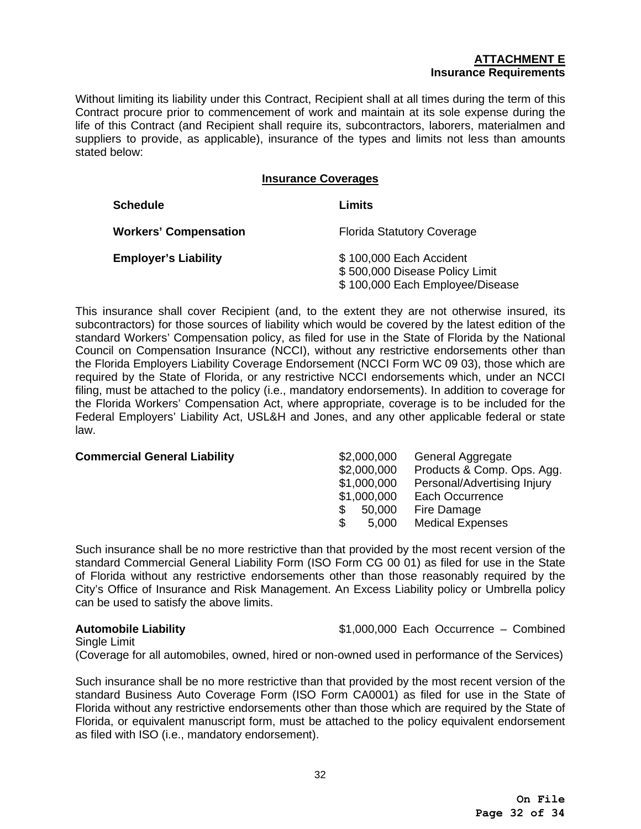# **ATTACHMENT E Insurance Requirements**

Without limiting its liability under this Contract, Recipient shall at all times during the term of this Contract procure prior to commencement of work and maintain at its sole expense during the life of this Contract (and Recipient shall require its, subcontractors, laborers, materialmen and suppliers to provide, as applicable), insurance of the types and limits not less than amounts stated below:

#### **Insurance Coverages**

| <b>Schedule</b>              | Limits                                                                                       |
|------------------------------|----------------------------------------------------------------------------------------------|
| <b>Workers' Compensation</b> | <b>Florida Statutory Coverage</b>                                                            |
| <b>Employer's Liability</b>  | \$100,000 Each Accident<br>\$500,000 Disease Policy Limit<br>\$100,000 Each Employee/Disease |

This insurance shall cover Recipient (and, to the extent they are not otherwise insured, its subcontractors) for those sources of liability which would be covered by the latest edition of the standard Workers' Compensation policy, as filed for use in the State of Florida by the National Council on Compensation Insurance (NCCI), without any restrictive endorsements other than the Florida Employers Liability Coverage Endorsement (NCCI Form WC 09 03), those which are required by the State of Florida, or any restrictive NCCI endorsements which, under an NCCI filing, must be attached to the policy (i.e., mandatory endorsements). In addition to coverage for the Florida Workers' Compensation Act, where appropriate, coverage is to be included for the Federal Employers' Liability Act, USL&H and Jones, and any other applicable federal or state law.

| <b>Commercial General Liability</b> | \$2,000,000  | General Aggregate           |
|-------------------------------------|--------------|-----------------------------|
|                                     | \$2,000,000  | Products & Comp. Ops. Agg.  |
|                                     | \$1,000,000  | Personal/Advertising Injury |
|                                     | \$1,000,000  | Each Occurrence             |
|                                     | 50,000       | Fire Damage                 |
|                                     | \$.<br>5,000 | <b>Medical Expenses</b>     |
|                                     |              |                             |

Such insurance shall be no more restrictive than that provided by the most recent version of the standard Commercial General Liability Form (ISO Form CG 00 01) as filed for use in the State of Florida without any restrictive endorsements other than those reasonably required by the City's Office of Insurance and Risk Management. An Excess Liability policy or Umbrella policy can be used to satisfy the above limits.

**Automobile Liability** \$1,000,000 Each Occurrence – Combined

Single Limit

(Coverage for all automobiles, owned, hired or non-owned used in performance of the Services)

Such insurance shall be no more restrictive than that provided by the most recent version of the standard Business Auto Coverage Form (ISO Form CA0001) as filed for use in the State of Florida without any restrictive endorsements other than those which are required by the State of Florida, or equivalent manuscript form, must be attached to the policy equivalent endorsement as filed with ISO (i.e., mandatory endorsement).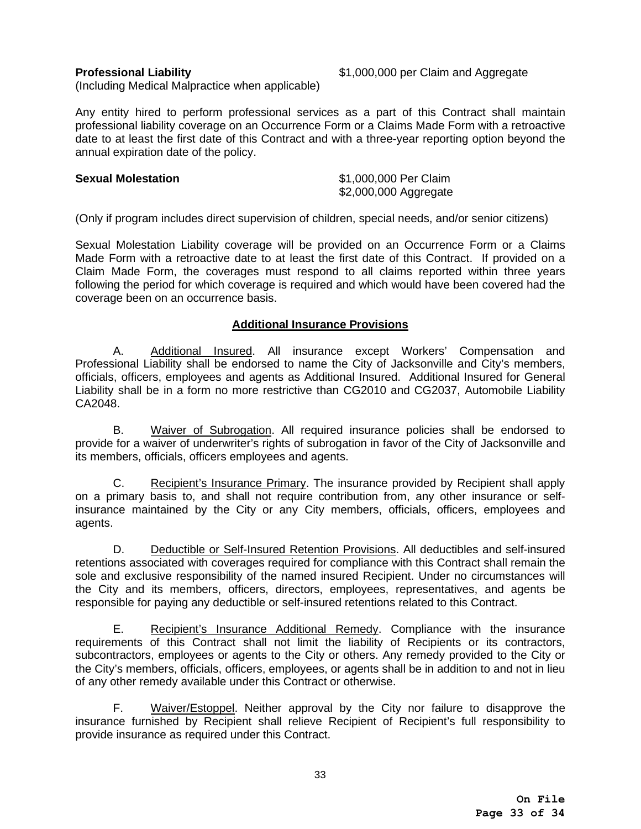**Professional Liability** \$1,000,000 per Claim and Aggregate

(Including Medical Malpractice when applicable)

Any entity hired to perform professional services as a part of this Contract shall maintain professional liability coverage on an Occurrence Form or a Claims Made Form with a retroactive date to at least the first date of this Contract and with a three-year reporting option beyond the annual expiration date of the policy.

## **Sexual Molestation** \$1,000,000 Per Claim

\$2,000,000 Aggregate

(Only if program includes direct supervision of children, special needs, and/or senior citizens)

Sexual Molestation Liability coverage will be provided on an Occurrence Form or a Claims Made Form with a retroactive date to at least the first date of this Contract. If provided on a Claim Made Form, the coverages must respond to all claims reported within three years following the period for which coverage is required and which would have been covered had the coverage been on an occurrence basis.

# **Additional Insurance Provisions**

A. Additional Insured. All insurance except Workers' Compensation and Professional Liability shall be endorsed to name the City of Jacksonville and City's members, officials, officers, employees and agents as Additional Insured. Additional Insured for General Liability shall be in a form no more restrictive than CG2010 and CG2037, Automobile Liability CA2048.

B. Waiver of Subrogation. All required insurance policies shall be endorsed to provide for a waiver of underwriter's rights of subrogation in favor of the City of Jacksonville and its members, officials, officers employees and agents.

C. Recipient's Insurance Primary. The insurance provided by Recipient shall apply on a primary basis to, and shall not require contribution from, any other insurance or selfinsurance maintained by the City or any City members, officials, officers, employees and agents.

D. Deductible or Self-Insured Retention Provisions. All deductibles and self-insured retentions associated with coverages required for compliance with this Contract shall remain the sole and exclusive responsibility of the named insured Recipient. Under no circumstances will the City and its members, officers, directors, employees, representatives, and agents be responsible for paying any deductible or self-insured retentions related to this Contract.

E. Recipient's Insurance Additional Remedy. Compliance with the insurance requirements of this Contract shall not limit the liability of Recipients or its contractors, subcontractors, employees or agents to the City or others. Any remedy provided to the City or the City's members, officials, officers, employees, or agents shall be in addition to and not in lieu of any other remedy available under this Contract or otherwise.

F. Waiver/Estoppel. Neither approval by the City nor failure to disapprove the insurance furnished by Recipient shall relieve Recipient of Recipient's full responsibility to provide insurance as required under this Contract.